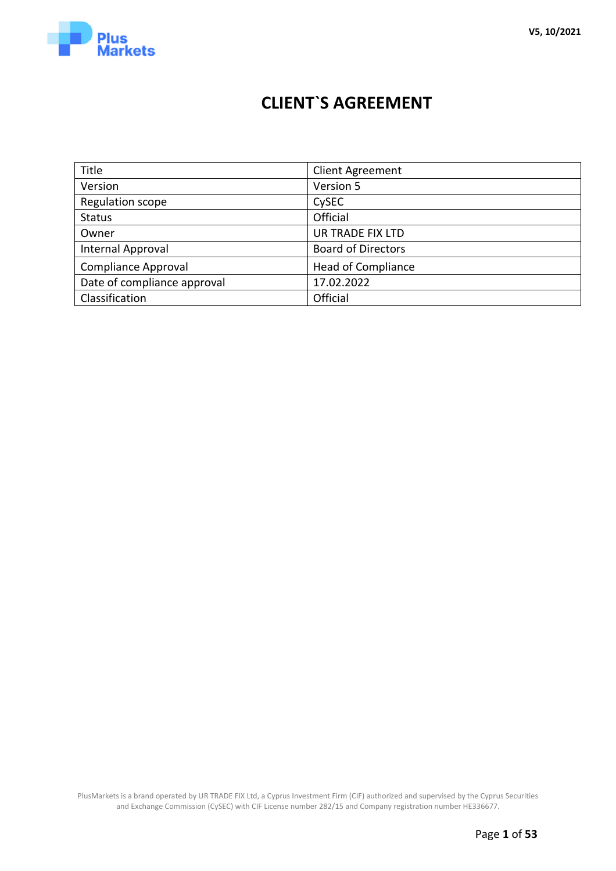

# **CLIENT`S AGREEMENT**

| Title                       | <b>Client Agreement</b>   |
|-----------------------------|---------------------------|
| Version                     | Version 5                 |
| Regulation scope            | CySEC                     |
| <b>Status</b>               | Official                  |
| Owner                       | <b>UR TRADE FIX LTD</b>   |
| Internal Approval           | <b>Board of Directors</b> |
| <b>Compliance Approval</b>  | <b>Head of Compliance</b> |
| Date of compliance approval | 17.02.2022                |
| Classification              | Official                  |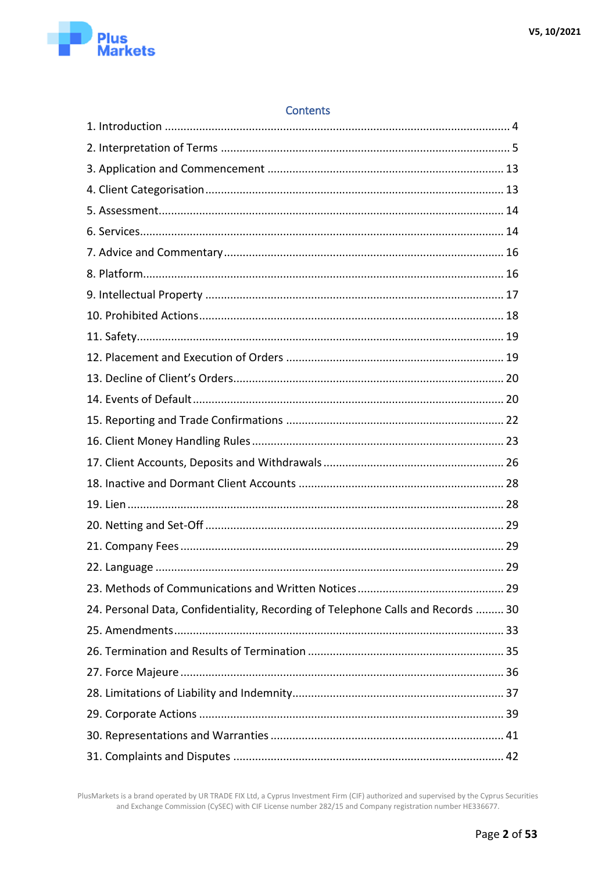

# 24. Personal Data, Confidentiality, Recording of Telephone Calls and Records ......... 30

**Contents**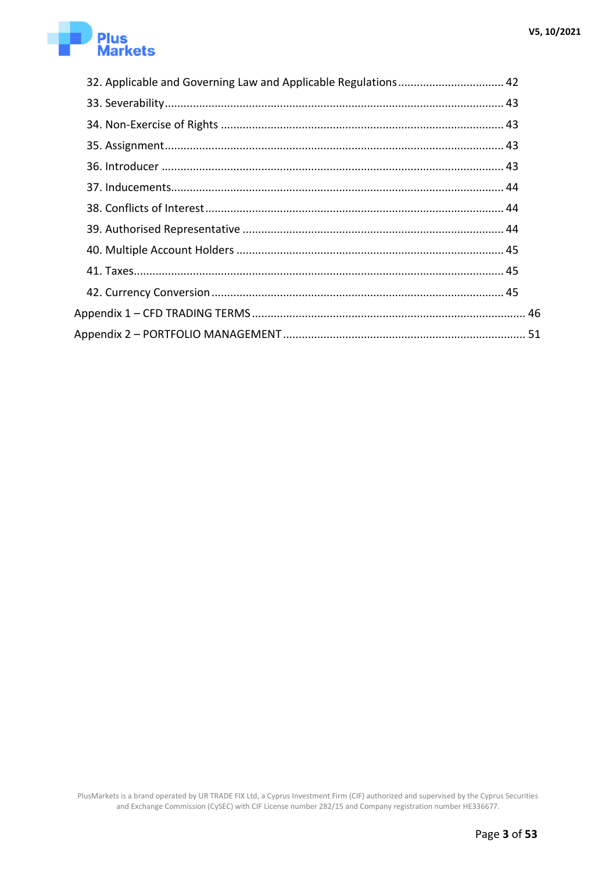

| 32. Applicable and Governing Law and Applicable Regulations 42 |  |
|----------------------------------------------------------------|--|
|                                                                |  |
|                                                                |  |
|                                                                |  |
|                                                                |  |
|                                                                |  |
|                                                                |  |
|                                                                |  |
|                                                                |  |
|                                                                |  |
|                                                                |  |
|                                                                |  |
|                                                                |  |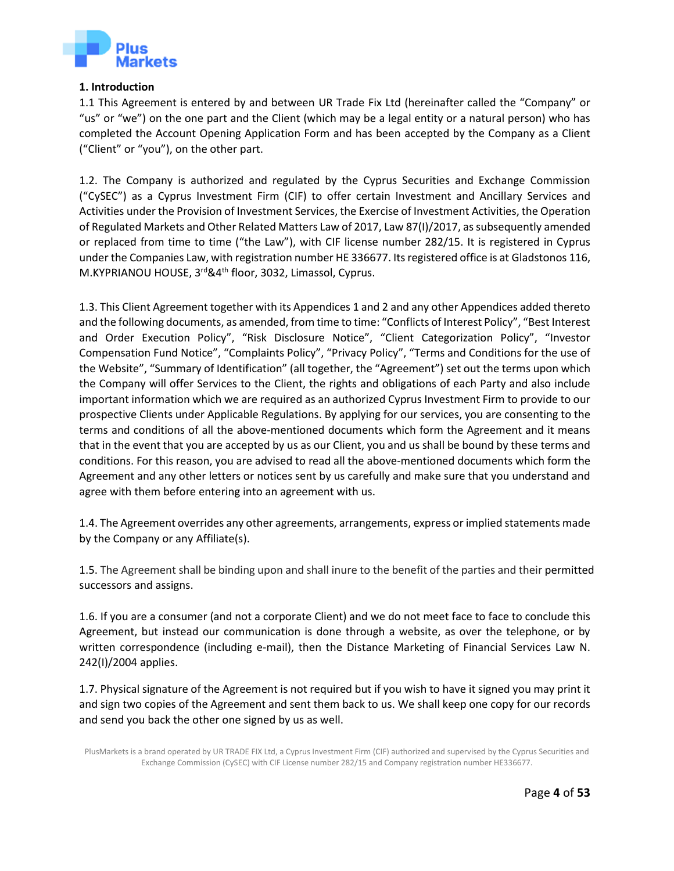

#### **1. Introduction**

<span id="page-3-0"></span>1.1 This Agreement is entered by and between [UR](http://www.cysec.gov.cy/en-GB/entities/investment-firms/cypriot/75306/) [Trade](http://www.cysec.gov.cy/en-GB/entities/investment-firms/cypriot/75306/) [Fix](http://www.cysec.gov.cy/en-GB/entities/investment-firms/cypriot/75306/) [Ltd](http://www.cysec.gov.cy/en-GB/entities/investment-firms/cypriot/75306/) [\(](http://www.cysec.gov.cy/en-GB/entities/investment-firms/cypriot/75306/)hereinafter called the "Company" or "us" or "we") on the one part and the Client (which may be a legal entity or a natural person) who has completed the Account Opening Application Form and has been accepted by the Company as a Client ("Client" or "you"), on the other part.

1.2. The Company is authorized and regulated by the Cyprus Securities and Exchange Commission ("CySEC") as a Cyprus Investment Firm (CIF) to offer certain Investment and Ancillary Services and Activities under the Provision of Investment Services, the Exercise of Investment Activities, the Operation of Regulated Markets and Other Related Matters Law of 2017, Law 87(I)/2017, as subsequently amended or replaced from time to time ("the Law"), with CIF license number 282/15. It is registered in Cyprus under the Companies Law, with registration number HE 336677. Its registered office is at Gladstonos 116, M.KYPRIANOU HOUSE, 3rd&4th floor, 3032, Limassol, Cyprus.

1.3. This Client Agreement together with its Appendices 1 and 2 and any other Appendices added thereto and the following documents, as amended, from time to time: "Conflicts of Interest Policy", "Best Interest and Order Execution Policy", "Risk Disclosure Notice", "Client Categorization Policy", "Investor Compensation Fund Notice", "Complaints Policy", "Privacy Policy", "Terms and Conditions for the use of the Website", "Summary of Identification" (all together, the "Agreement") set out the terms upon which the Company will offer Services to the Client, the rights and obligations of each Party and also include important information which we are required as an authorized Cyprus Investment Firm to provide to our prospective Clients under Applicable Regulations. By applying for our services, you are consenting to the terms and conditions of all the above-mentioned documents which form the Agreement and it means that in the event that you are accepted by us as our Client, you and us shall be bound by these terms and conditions. For this reason, you are advised to read all the above-mentioned documents which form the Agreement and any other letters or notices sent by us carefully and make sure that you understand and agree with them before entering into an agreement with us.

1.4. The Agreement overrides any other agreements, arrangements, express or implied statements made by the Company or any Affiliate(s).

1.5. The Agreement shall be binding upon and shall inure to the benefit of the parties and their permitted successors and assigns.

1.6. If you are a consumer (and not a corporate Client) and we do not meet face to face to conclude this Agreement, but instead our communication is done through a website, as over the telephone, or by written correspondence (including e-mail), then the Distance Marketing of Financial Services Law N. 242(I)/2004 applies.

1.7. Physical signature of the Agreement is not required but if you wish to have it signed you may print it and sign two copies of the Agreement and sent them back to us. We shall keep one copy for our records and send you back the other one signed by us as well.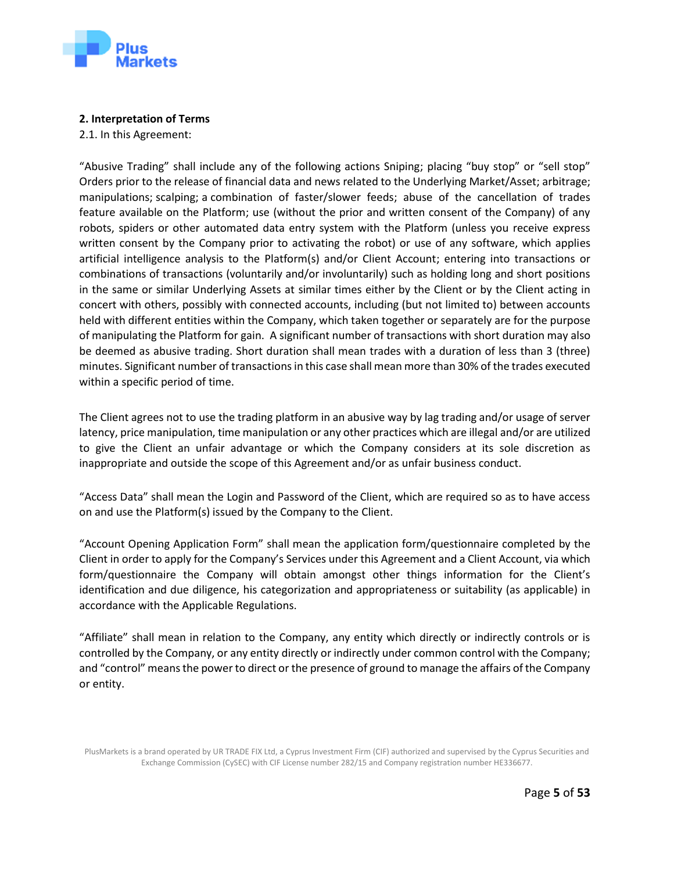

## **2. Interpretation of Terms**

2.1. In this Agreement:

<span id="page-4-0"></span>"Abusive Trading" shall include any of the following actions Sniping; placing "buy stop" or "sell stop" Orders prior to the release of financial data and news related to the Underlying Market/Asset; arbitrage; manipulations; scalping; a combination of faster/slower feeds; abuse of the cancellation of trades feature available on the Platform; use (without the prior and written consent of the Company) of any robots, spiders or other automated data entry system with the Platform (unless you receive express written consent by the Company prior to activating the robot) or use of any software, which applies artificial intelligence analysis to the Platform(s) and/or Client Account; entering into transactions or combinations of transactions (voluntarily and/or involuntarily) such as holding long and short positions in the same or similar Underlying Assets at similar times either by the Client or by the Client acting in concert with others, possibly with connected accounts, including (but not limited to) between accounts held with different entities within the Company, which taken together or separately are for the purpose of manipulating the Platform for gain. A significant number of transactions with short duration may also be deemed as abusive trading. Short duration shall mean trades with a duration of less than 3 (three) minutes. Significant number of transactions in this case shall mean more than 30% of the trades executed within a specific period of time.

The Client agrees not to use the trading platform in an abusive way by lag trading and/or usage of server latency, price manipulation, time manipulation or any other practices which are illegal and/or are utilized to give the Client an unfair advantage or which the Company considers at its sole discretion as inappropriate and outside the scope of this Agreement and/or as unfair business conduct.

"Access Data" shall mean the Login and Password of the Client, which are required so as to have access on and use the Platform(s) issued by the Company to the Client.

"Account Opening Application Form" shall mean the application form/questionnaire completed by the Client in order to apply for the Company's Services under this Agreement and a Client Account, via which form/questionnaire the Company will obtain amongst other things information for the Client's identification and due diligence, his categorization and appropriateness or suitability (as applicable) in accordance with the Applicable Regulations.

"Affiliate" shall mean in relation to the Company, any entity which directly or indirectly controls or is controlled by the Company, or any entity directly or indirectly under common control with the Company; and "control" means the power to direct or the presence of ground to manage the affairs of the Company or entity.

PlusMarkets is a brand operated by UR TRADE FIX Ltd, a Cyprus Investment Firm (CIF) authorized and supervised by the Cyprus Securities and Exchange Commission (CySEC) with CIF License number 282/15 and Company registration number HE336677.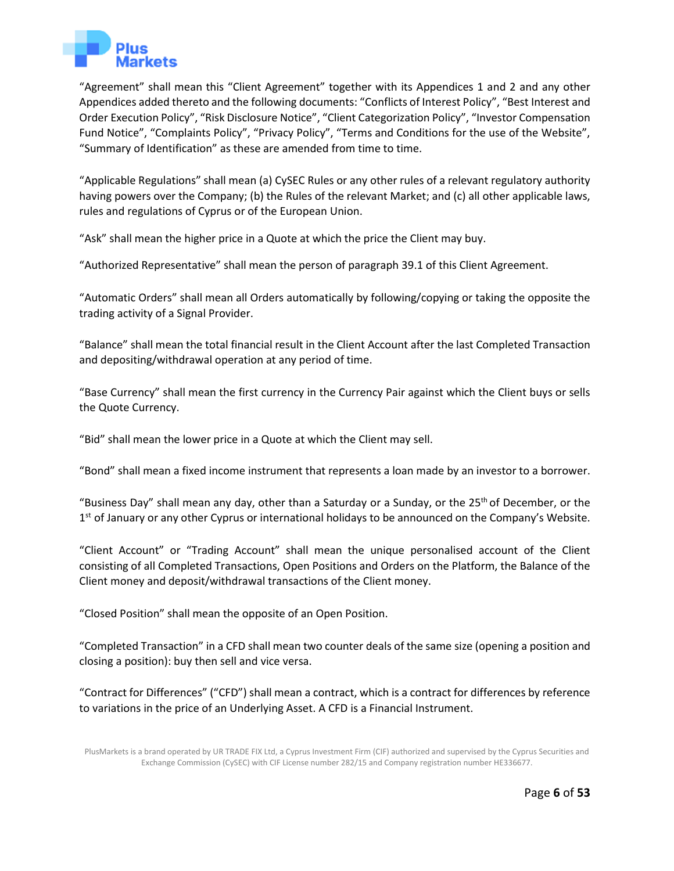

"Agreement" shall mean this "Client Agreement" together with its Appendices 1 and 2 and any other Appendices added thereto and the following documents: "Conflicts of Interest Policy", "Best Interest and Order Execution Policy", "Risk Disclosure Notice", "Client Categorization Policy", "Investor Compensation Fund Notice", "Complaints Policy", "Privacy Policy", "Terms and Conditions for the use of the Website", "Summary of Identification" as these are amended from time to time.

"Applicable Regulations" shall mean (a) CySEC Rules or any other rules of a relevant regulatory authority having powers over the Company; (b) the Rules of the relevant Market; and (c) all other applicable laws, rules and regulations of Cyprus or of the European Union.

"Ask" shall mean the higher price in a Quote at which the price the Client may buy.

"Authorized Representative" shall mean the person of paragraph 39.1 of this Client Agreement.

"Automatic Orders" shall mean all Orders automatically by following/copying or taking the opposite the trading activity of a Signal Provider.

"Balance" shall mean the total financial result in the Client Account after the last Completed Transaction and depositing/withdrawal operation at any period of time.

"Base Currency" shall mean the first currency in the Currency Pair against which the Client buys or sells the Quote Currency.

"Bid" shall mean the lower price in a Quote at which the Client may sell.

"Bond" shall mean a fixed income instrument that represents a loan made by an investor to a borrower.

"Business Day" shall mean any day, other than a Saturday or a Sunday, or the 25<sup>th</sup> of December, or the 1<sup>st</sup> of January or any other Cyprus or international holidays to be announced on the Company's Website.

"Client Account" or "Trading Account" shall mean the unique personalised account of the Client consisting of all Completed Transactions, Open Positions and Orders on the Platform, the Balance of the Client money and deposit/withdrawal transactions of the Client money.

"Closed Position" shall mean the opposite of an Open Position.

"Completed Transaction" in a CFD shall mean two counter deals of the same size (opening a position and closing a position): buy then sell and vice versa.

"Contract for Differences" ("CFD") shall mean a contract, which is a contract for differences by reference to variations in the price of an Underlying Asset. A CFD is a Financial Instrument.

PlusMarkets is a brand operated by UR TRADE FIX Ltd, a Cyprus Investment Firm (CIF) authorized and supervised by the Cyprus Securities and Exchange Commission (CySEC) with CIF License number 282/15 and Company registration number HE336677.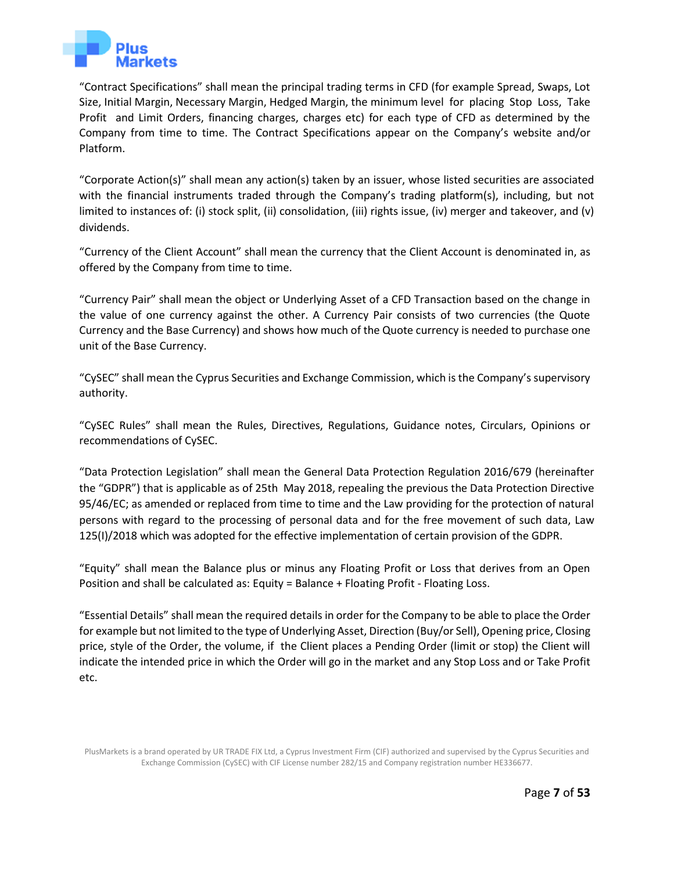

"Contract Specifications" shall mean the principal trading terms in CFD (for example Spread, Swaps, Lot Size, Initial Margin, Necessary Margin, Hedged Margin, the minimum level for placing Stop Loss, Take Profit and Limit Orders, financing charges, charges etc) for each type of CFD as determined by the Company from time to time. The Contract Specifications appear on the Company's website [an](https://tradeo.com/trading#trade-cfd)d/or Platform.

"Corporate Action(s)" shall mean any action(s) taken by an issuer, whose listed securities are associated with the financial instruments traded through the Company's trading platform(s), including, but not limited to instances of: (i) stock split, (ii) consolidation, (iii) rights issue, (iv) merger and takeover, and (v) dividends.

"Currency of the Client Account" shall mean the currency that the Client Account is denominated in, as offered by the Company from time to time.

"Currency Pair" shall mean the object or Underlying Asset of a CFD Transaction based on the change in the value of one currency against the other. A Currency Pair consists of two currencies (the Quote Currency and the Base Currency) and shows how much of the Quote currency is needed to purchase one unit of the Base Currency.

"CySEC" shall mean the Cyprus Securities and Exchange Commission, which is the Company's supervisory authority.

"CySEC Rules" shall mean the Rules, Directives, Regulations, Guidance notes, Circulars, Opinions or recommendations of CySEC.

"Data Protection Legislation" shall mean the General Data Protection Regulation 2016/679 (hereinafter the "GDPR") that is applicable as of 25th May 2018, repealing the previous the Data Protection Directive 95/46/EC; as amended or replaced from time to time and the Law providing for the protection of natural persons with regard to the processing of personal data and for the free movement of such data, Law 125(I)/2018 which was adopted for the effective implementation of certain provision of the GDPR.

"Equity" shall mean the Balance plus or minus any Floating Profit or Loss that derives from an Open Position and shall be calculated as: Equity = Balance + Floating Profit - Floating Loss.

"Essential Details" shall mean the required details in order for the Company to be able to place the Order for example but not limited to the type of Underlying Asset, Direction (Buy/or Sell), Opening price, Closing price, style of the Order, the volume, if the Client places a Pending Order (limit or stop) the Client will indicate the intended price in which the Order will go in the market and any Stop Loss and or Take Profit etc.

PlusMarkets is a brand operated by UR TRADE FIX Ltd, a Cyprus Investment Firm (CIF) authorized and supervised by the Cyprus Securities and Exchange Commission (CySEC) with CIF License number 282/15 and Company registration number HE336677.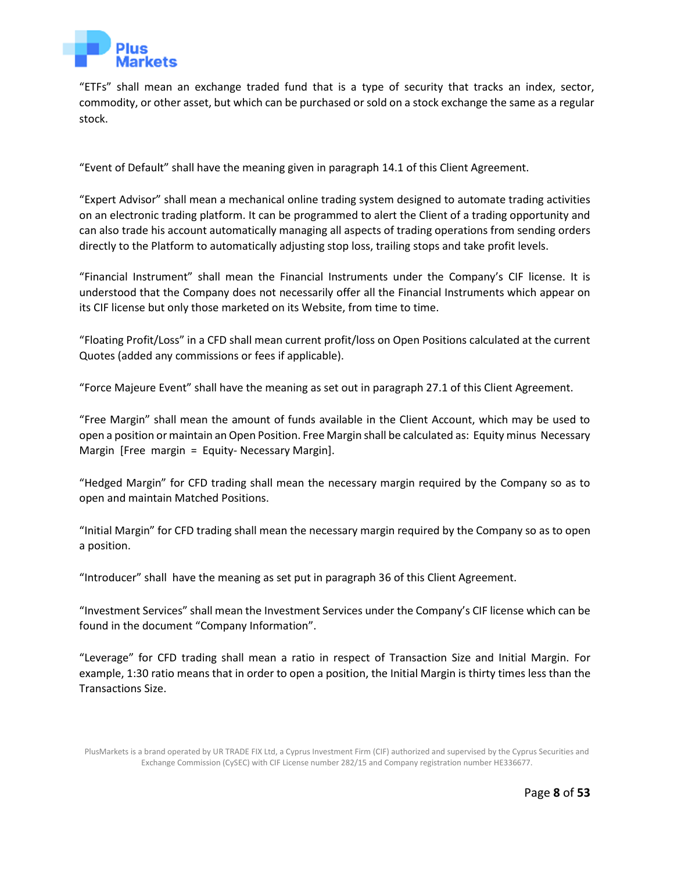

"ETFs" shall mean an exchange traded fund that is a type of security that tracks an index, sector, commodity, or other asset, but which can be purchased or sold on a stock exchange the same as a regular stock.

"Event of Default" shall have the meaning given in paragraph 14.1 of this Client Agreement.

"Expert Advisor" shall mean a mechanical online trading system designed to automate trading activities on an electronic trading platform. It can be programmed to alert the Client of a trading opportunity and can also trade his account automatically managing all aspects of trading operations from sending orders directly to the Platform to automatically adjusting stop loss, trailing stops and take profit levels.

"Financial Instrument" shall mean the Financial Instruments under the Company's CIF license. It is understood that the Company does not necessarily offer all the Financial Instruments which appear on its CIF license but only those marketed on its Website, from time to time.

"Floating Profit/Loss" in a CFD shall mean current profit/loss on Open Positions calculated at the current Quotes (added any commissions or fees if applicable).

"Force Majeure Event" shall have the meaning as set out in paragraph 27.1 of this Client Agreement.

"Free Margin" shall mean the amount of funds available in the Client Account, which may be used to open a position or maintain an Open Position. Free Margin shall be calculated as: Equity minus Necessary Margin [Free margin = Equity- Necessary Margin].

"Hedged Margin" for CFD trading shall mean the necessary margin required by the Company so as to open and maintain Matched Positions.

"Initial Margin" for CFD trading shall mean the necessary margin required by the Company so as to open a position.

"Introducer" shall have the meaning as set put in paragraph 36 of this Client Agreement.

"Investment Services" shall mean the Investment Services under the Company's CIF license which can be found in the document "Company Information".

"Leverage" for CFD trading shall mean a ratio in respect of Transaction Size and Initial Margin. For example, 1:30 ratio means that in order to open a position, the Initial Margin is thirty times less than the Transactions Size.

PlusMarkets is a brand operated by UR TRADE FIX Ltd, a Cyprus Investment Firm (CIF) authorized and supervised by the Cyprus Securities and Exchange Commission (CySEC) with CIF License number 282/15 and Company registration number HE336677.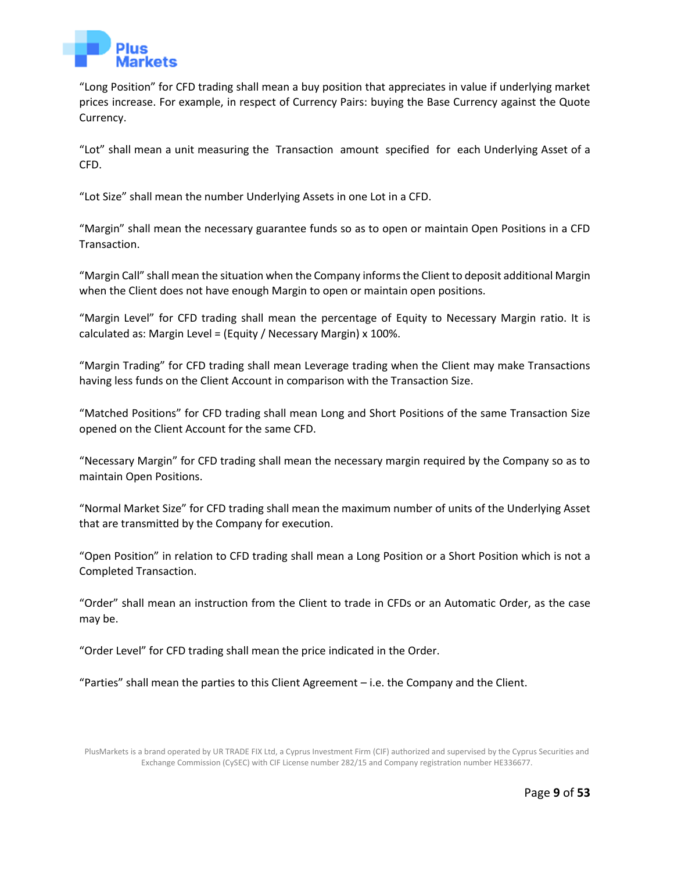

"Long Position" for CFD trading shall mean a buy position that appreciates in value if underlying market prices increase. For example, in respect of Currency Pairs: buying the Base Currency against the Quote Currency.

"Lot" shall mean a unit measuring the Transaction amount specified for each Underlying Asset of a CFD.

"Lot Size" shall mean the number Underlying Assets in one Lot in a CFD.

"Margin" shall mean the necessary guarantee funds so as to open or maintain Open Positions in a CFD Transaction.

"Margin Call" shall mean the situation when the Company informs the Client to deposit additional Margin when the Client does not have enough Margin to open or maintain open positions.

"Маrgin Level" for CFD trading shall mean the percentage of Equity to Necessary Margin ratio. It is calculated as: Margin Level = (Equity / Necessary Margin) x 100%.

"Margin Trading" for CFD trading shall mean Leverage trading when the Client may make Transactions having less funds on the Client Account in comparison with the Transaction Size.

"Matched Positions" for CFD trading shall mean Long and Short Positions of the same Transaction Size opened on the Client Account for the same CFD.

"Necessary Margin" for CFD trading shall mean the necessary margin required by the Company so as to maintain Open Positions.

"Normal Market Size" for CFD trading shall mean the maximum number of units of the Underlying Asset that are transmitted by the Company for execution.

"Open Position" in relation to CFD trading shall mean a Long Position or a Short Position which is not a Completed Transaction.

"Order" shall mean an instruction from the Client to trade in CFDs or an Automatic Order, as the case may be.

"Order Level" for CFD trading shall mean the price indicated in the Order.

"Parties" shall mean the parties to this Client Agreement – i.e. the Company and the Client.

PlusMarkets is a brand operated by UR TRADE FIX Ltd, a Cyprus Investment Firm (CIF) authorized and supervised by the Cyprus Securities and Exchange Commission (CySEC) with CIF License number 282/15 and Company registration number HE336677.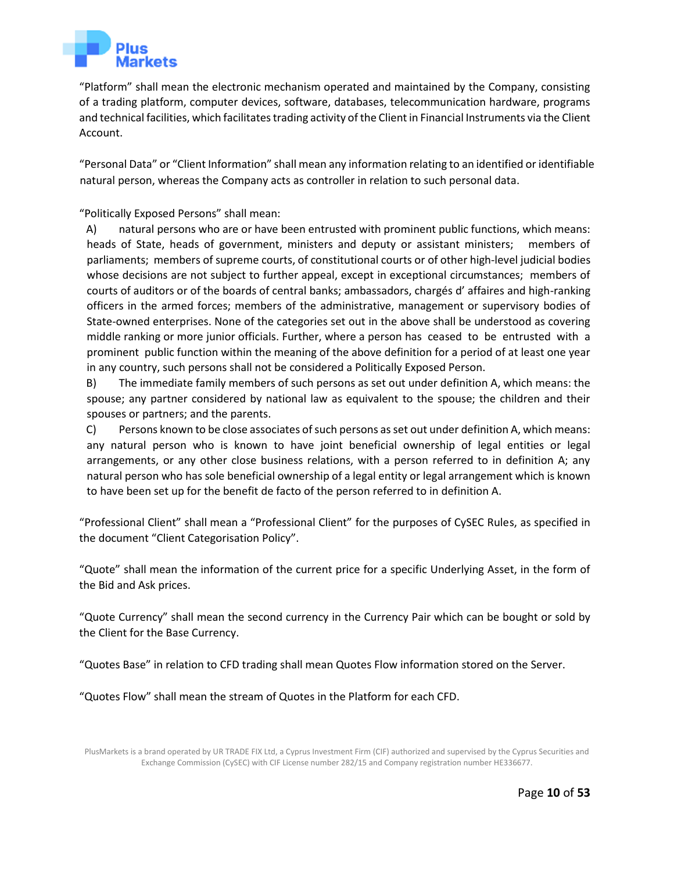

"Platform" shall mean the electronic mechanism operated and maintained by the Company, consisting of a trading platform, computer devices, software, databases, telecommunication hardware, programs and technical facilities, which facilitates trading activity of the Client in Financial Instruments via the Client Account.

"Personal Data" or "Client Information" shall mean any information relating to an identified or identifiable natural person, whereas the Company acts as controller in relation to such personal data.

"Politically Exposed Persons" shall mean:

A) natural persons who are or have been entrusted with prominent public functions, which means: heads of State, heads of government, ministers and deputy or assistant ministers; members of parliaments; members of supreme courts, of constitutional courts or of other high-level judicial bodies whose decisions are not subject to further appeal, except in exceptional circumstances; members of courts of auditors or of the boards of central banks; ambassadors, chargés d' affaires and high-ranking officers in the armed forces; members of the administrative, management or supervisory bodies of State-owned enterprises. None of the categories set out in the above shall be understood as covering middle ranking or more junior officials. Further, where a person has ceased to be entrusted with a prominent public function within the meaning of the above definition for a period of at least one year in any country, such persons shall not be considered a Politically Exposed Person.

B) The immediate family members of such persons as set out under definition A, which means: the spouse; any partner considered by national law as equivalent to the spouse; the children and their spouses or partners; and the parents.

C) Persons known to be close associates of such persons as set out under definition A, which means: any natural person who is known to have joint beneficial ownership of legal entities or legal arrangements, or any other close business relations, with a person referred to in definition A; any natural person who has sole beneficial ownership of a legal entity or legal arrangement which is known to have been set up for the benefit de facto of the person referred to in definition A.

"Professional Client" shall mean a "Professional Client" for the purposes of CySEC Rules, as specified in the document "Client Categorisation Policy".

"Quote" shall mean the information of the current price for a specific Underlying Asset, in the form of the Bid and Ask prices.

"Quote Currency" shall mean the second currency in the Currency Pair which can be bought or sold by the Client for the Base Currency.

"Quotes Base" in relation to CFD trading shall mean Quotes Flow information stored on the Server.

"Quotes Flow" shall mean the stream of Quotes in the Platform for each CFD.

PlusMarkets is a brand operated by UR TRADE FIX Ltd, a Cyprus Investment Firm (CIF) authorized and supervised by the Cyprus Securities and Exchange Commission (CySEC) with CIF License number 282/15 and Company registration number HE336677.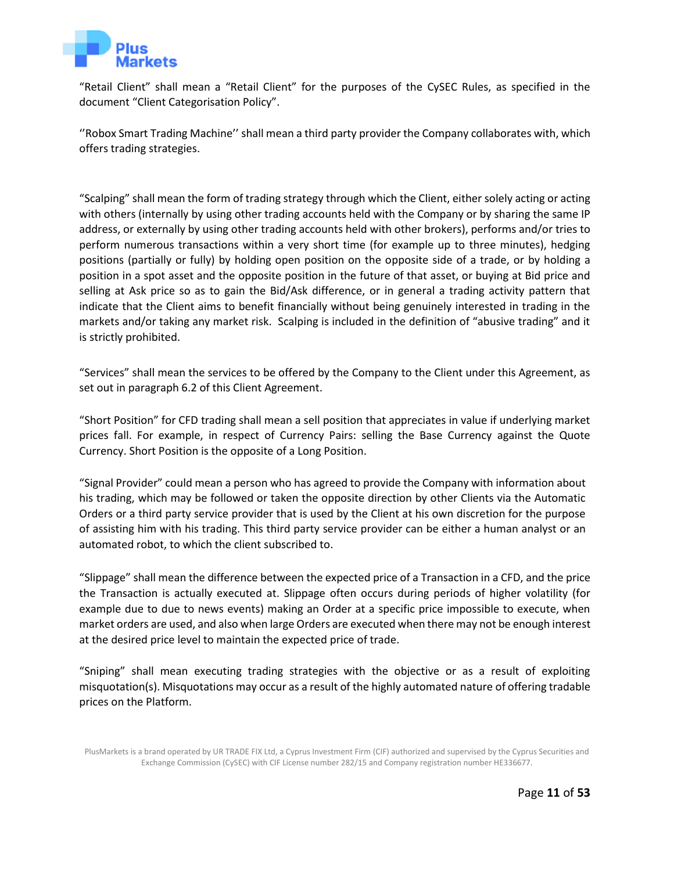

"Retail Client" shall mean a "Retail Client" for the purposes of the CySEC Rules, as specified in the document "Client Categorisation Policy".

''Robox Smart Trading Machine'' shall mean a third party provider the Company collaborates with, which offers trading strategies.

"Scalping" shall mean the form of trading strategy through which the Client, either solely acting or acting with others (internally by using other trading accounts held with the Company or by sharing the same IP address, or externally by using other trading accounts held with other brokers), performs and/or tries to perform numerous transactions within a very short time (for example up to three minutes), hedging positions (partially or fully) by holding open position on the opposite side of a trade, or by holding a position in a spot asset and the opposite position in the future of that asset, or buying at Bid price and selling at Ask price so as to gain the Bid/Ask difference, or in general a trading activity pattern that indicate that the Client aims to benefit financially without being genuinely interested in trading in the markets and/or taking any market risk. Scalping is included in the definition of "abusive trading" and it is strictly prohibited.

"Services" shall mean the services to be offered by the Company to the Client under this Agreement, as set out in paragraph 6.2 of this Client Agreement.

"Short Position" for CFD trading shall mean a sell position that appreciates in value if underlying market prices fall. For example, in respect of Currency Pairs: selling the Base Currency against the Quote Currency. Short Position is the opposite of a Long Position.

"Signal Provider" could mean a person who has agreed to provide the Company with information about his trading, which may be followed or taken the opposite direction by other Clients via the Automatic Orders or a third party service provider that is used by the Client at his own discretion for the purpose of assisting him with his trading. This third party service provider can be either a human analyst or an automated robot, to which the client subscribed to.

"Slippage" shall mean the difference between the expected price of a Transaction in a CFD, and the price the Transaction is actually executed at. Slippage often occurs during periods of higher volatility (for example due to due to news events) making an Order at a specific price impossible to execute, when market orders are used, and also when large Orders are executed when there may not be enough interest at the desired price level to maintain the expected price of trade.

"Sniping" shall mean executing trading strategies with the objective or as a result of exploiting misquotation(s). Misquotations may occur as a result of the highly automated nature of offering tradable prices on the Platform.

PlusMarkets is a brand operated by UR TRADE FIX Ltd, a Cyprus Investment Firm (CIF) authorized and supervised by the Cyprus Securities and Exchange Commission (CySEC) with CIF License number 282/15 and Company registration number HE336677.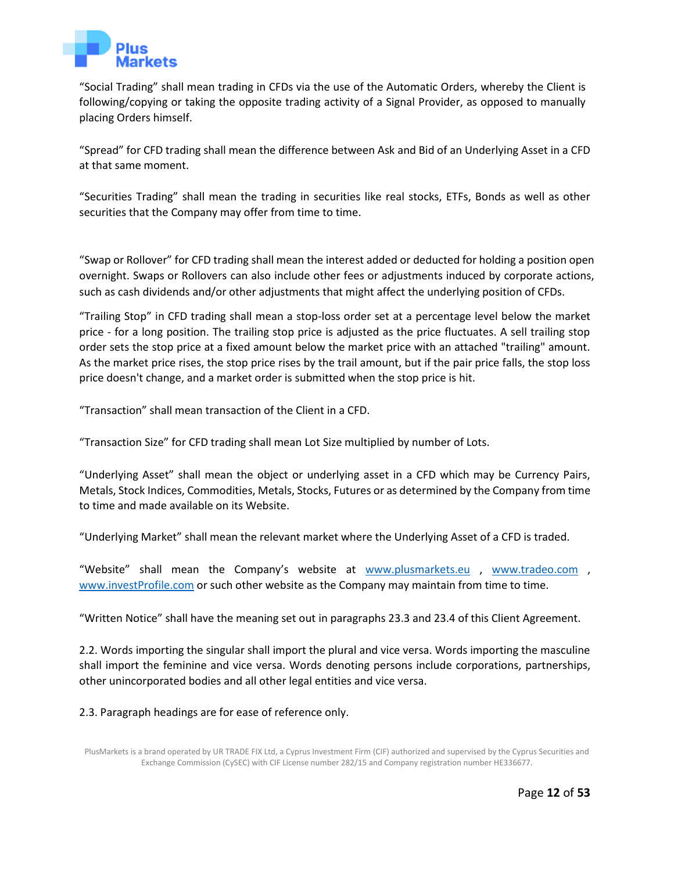

"Social Trading" shall mean trading in CFDs via the use of the Automatic Orders, whereby the Client is following/copying or taking the opposite trading activity of a Signal Provider, as opposed to manually placing Orders himself.

"Spread" for CFD trading shall mean the difference between Ask and Bid of an Underlying Asset in a CFD at that same moment.

"Securities Trading" shall mean the trading in securities like real stocks, ETFs, Bonds as well as other securities that the Company may offer from time to time.

"Swap or Rollover" for CFD trading shall mean the interest added or deducted for holding a position open overnight. Swaps or Rollovers can also include other fees or adjustments induced by corporate actions, such as cash dividends and/or other adjustments that might affect the underlying position of CFDs.

"Trailing Stop" in CFD trading shall mean a stop-loss order set at a percentage level below the market price - for a long position. The trailing stop price is adjusted as the price fluctuates. A sell trailing stop order sets the stop price at a fixed amount below the market price with an attached "trailing" amount. As the market price rises, the stop price rises by the trail amount, but if the pair price falls, the stop loss price doesn't change, and a market order is submitted when the stop price is hit.

"Transaction" shall mean transaction of the Client in a CFD.

"Transaction Size" for CFD trading shall mean Lot Size multiplied by number of Lots.

"Underlying Asset" shall mean the object or underlying asset in a CFD which may be Currency Pairs, Metals, Stock Indices, Commodities, Metals, Stocks, Futures or as determined by the Company from time to time and made available on its Website.

"Underlying Market" shall mean the relevant market where the Underlying Asset of a CFD is traded.

"Website" shall mean the Company's website at [www.plusmarkets.eu](http://www.plusmarkets.eu/) , [www.tradeo.com](http://www.tradeo.com/) , [www.investProfile.com](http://www.investprofile.com/) [or](http://www.tradeo.com/) such other website as the Company may maintain from time to time.

"Written Notice" shall have the meaning set out in paragraphs 23.3 and 23.4 of this Client Agreement.

2.2. Words importing the singular shall import the plural and vice versa. Words importing the masculine shall import the feminine and vice versa. Words denoting persons include corporations, partnerships, other unincorporated bodies and all other legal entities and vice versa.

#### 2.3. Paragraph headings are for ease of reference only.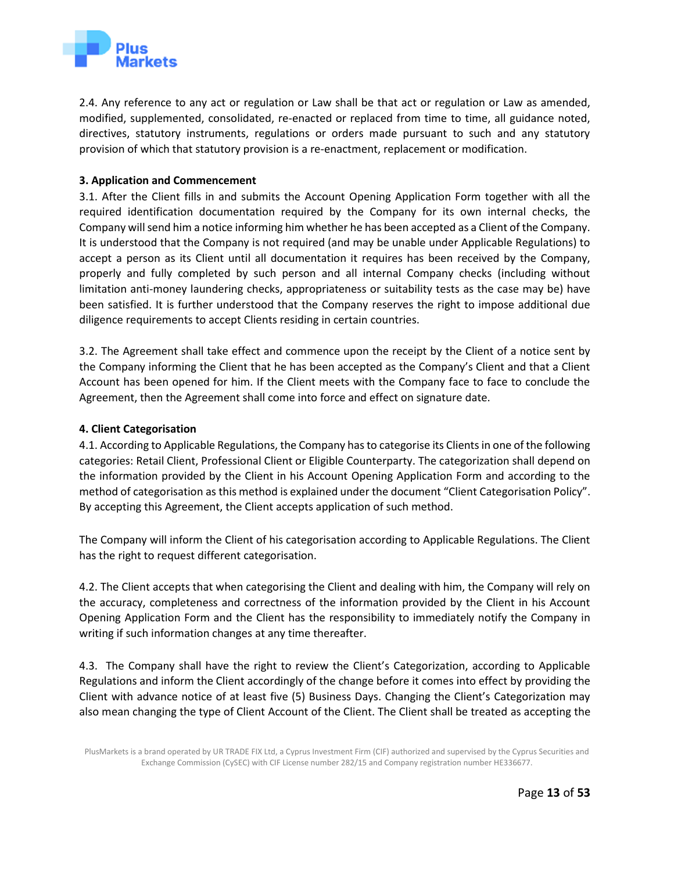

2.4. Any reference to any act or regulation or Law shall be that act or regulation or Law as amended, modified, supplemented, consolidated, re-enacted or replaced from time to time, all guidance noted, directives, statutory instruments, regulations or orders made pursuant to such and any statutory provision of which that statutory provision is a re-enactment, replacement or modification.

#### **3. Application and Commencement**

<span id="page-12-0"></span>3.1. After the Client fills in and submits the Account Opening Application Form together with all the required identification documentation required by the Company for its own internal checks, the Company will send him a notice informing him whether he has been accepted as a Client of the Company. It is understood that the Company is not required (and may be unable under Applicable Regulations) to accept a person as its Client until all documentation it requires has been received by the Company, properly and fully completed by such person and all internal Company checks (including without limitation anti-money laundering checks, appropriateness or suitability tests as the case may be) have been satisfied. It is further understood that the Company reserves the right to impose additional due diligence requirements to accept Clients residing in certain countries.

3.2. The Agreement shall take effect and commence upon the receipt by the Client of a notice sent by the Company informing the Client that he has been accepted as the Company's Client and that a Client Account has been opened for him. If the Client meets with the Company face to face to conclude the Agreement, then the Agreement shall come into force and effect on signature date.

#### **4. Client Categorisation**

<span id="page-12-1"></span>4.1. According to Applicable Regulations, the Company has to categorise its Clients in one of the following categories: Retail Client, Professional Client or Eligible Counterparty. The categorization shall depend on the information provided by the Client in his Account Opening Application Form and according to the method of categorisation as this method is explained under the document "Client Categorisation Policy". By accepting this Agreement, the Client accepts application of such method.

The Company will inform the Client of his categorisation according to Applicable Regulations. The Client has the right to request different categorisation.

4.2. The Client accepts that when categorising the Client and dealing with him, the Company will rely on the accuracy, completeness and correctness of the information provided by the Client in his Account Opening Application Form and the Client has the responsibility to immediately notify the Company in writing if such information changes at any time thereafter.

4.3. The Company shall have the right to review the Client's Categorization, according to Applicable Regulations and inform the Client accordingly of the change before it comes into effect by providing the Client with advance notice of at least five (5) Business Days. Changing the Client's Categorization may also mean changing the type of Client Account of the Client. The Client shall be treated as accepting the

PlusMarkets is a brand operated by UR TRADE FIX Ltd, a Cyprus Investment Firm (CIF) authorized and supervised by the Cyprus Securities and Exchange Commission (CySEC) with CIF License number 282/15 and Company registration number HE336677.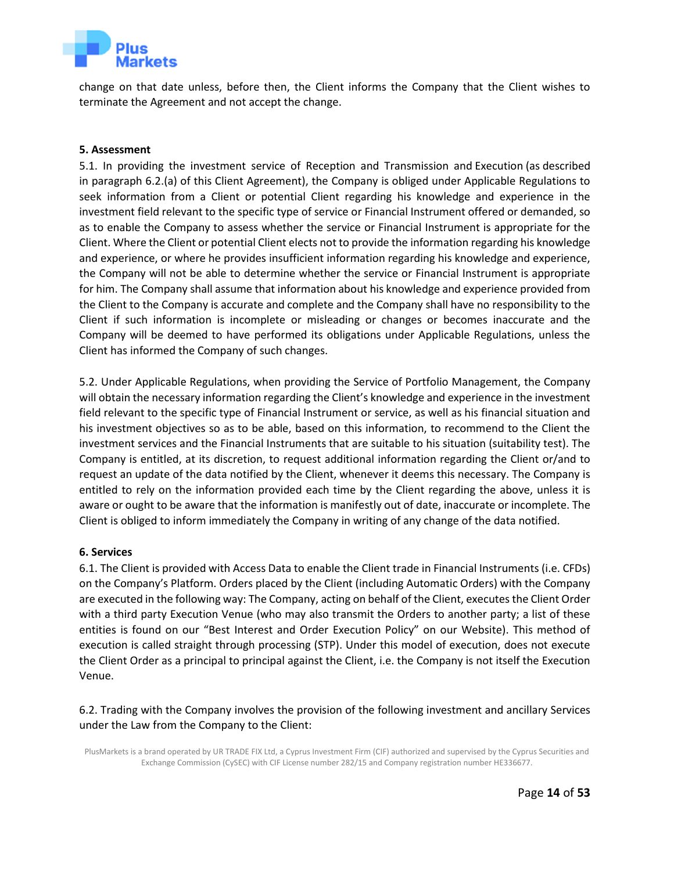

change on that date unless, before then, the Client informs the Company that the Client wishes to terminate the Agreement and not accept the change.

#### **5. Assessment**

<span id="page-13-0"></span>5.1. In providing the investment service of Reception and Transmission and Execution (as described in paragraph 6.2.(a) of this Client Agreement), the Company is obliged under Applicable Regulations to seek information from a Client or potential Client regarding his knowledge and experience in the investment field relevant to the specific type of service or Financial Instrument offered or demanded, so as to enable the Company to assess whether the service or Financial Instrument is appropriate for the Client. Where the Client or potential Client elects not to provide the information regarding his knowledge and experience, or where he provides insufficient information regarding his knowledge and experience, the Company will not be able to determine whether the service or Financial Instrument is appropriate for him. The Company shall assume that information about his knowledge and experience provided from the Client to the Company is accurate and complete and the Company shall have no responsibility to the Client if such information is incomplete or misleading or changes or becomes inaccurate and the Company will be deemed to have performed its obligations under Applicable Regulations, unless the Client has informed the Company of such changes.

5.2. Under Applicable Regulations, when providing the Service of Portfolio Management, the Company will obtain the necessary information regarding the Client's knowledge and experience in the investment field relevant to the specific type of Financial Instrument or service, as well as his financial situation and his investment objectives so as to be able, based on this information, to recommend to the Client the investment services and the Financial Instruments that are suitable to his situation (suitability test). The Company is entitled, at its discretion, to request additional information regarding the Client or/and to request an update of the data notified by the Client, whenever it deems this necessary. The Company is entitled to rely on the information provided each time by the Client regarding the above, unless it is aware or ought to be aware that the information is manifestly out of date, inaccurate or incomplete. The Client is obliged to inform immediately the Company in writing of any change of the data notified.

#### **6. Services**

<span id="page-13-1"></span>6.1. The Client is provided with Access Data to enable the Client trade in Financial Instruments (i.e. CFDs) on the Company's Platform. Orders placed by the Client (including Automatic Orders) with the Company are executed in the following way: The Company, acting on behalf of the Client, executes the Client Order with a third party Execution Venue (who may also transmit the Orders to another party; a list of these entities is found on our "Best Interest and Order Execution Policy" on our Website). This method of execution is called straight through processing (STP). Under this model of execution, does not execute the Client Order as a principal to principal against the Client, i.e. the Company is not itself the Execution Venue.

6.2. Trading with the Company involves the provision of the following investment and ancillary Services under the Law from the Company to the Client: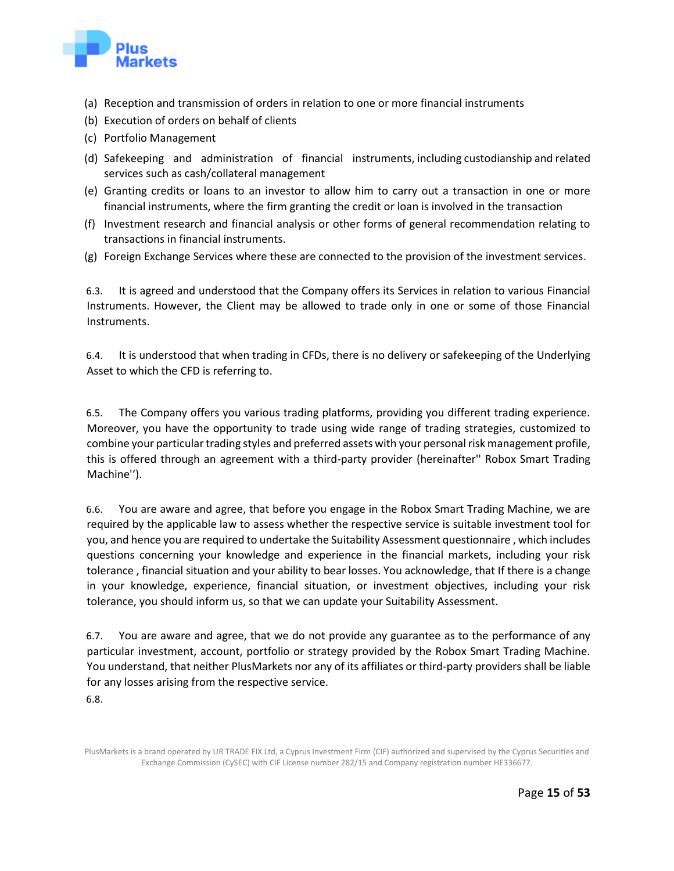

- (a) Reception and transmission of orders in relation to one or more financial instruments
- (b) Execution of orders on behalf of clients
- (c) Portfolio Management
- (d) Safekeeping and administration of financial instruments, including custodianship and related services such as cash/collateral management
- (e) Granting credits or loans to an investor to allow him to carry out a transaction in one or more financial instruments, where the firm granting the credit or loan is involved in the transaction
- (f) Investment research and financial analysis or other forms of general recommendation relating to transactions in financial instruments.
- (g) Foreign Exchange Services where these are connected to the provision of the investment services.

6.3. It is agreed and understood that the Company offers its Services in relation to various Financial Instruments. However, the Client may be allowed to trade only in one or some of those Financial Instruments.

6.4. It is understood that when trading in CFDs, there is no delivery or safekeeping of the Underlying Asset to which the CFD is referring to.

6.5. The Company offers you various trading platforms, providing you different trading experience. Moreover, you have the opportunity to trade using wide range of trading strategies, customized to combine your particular trading styles and preferred assets with your personal risk management profile, this is offered through an agreement with a third-party provider (hereinafter'' Robox Smart Trading Machine'').

6.6. You are aware and agree, that before you engage in the Robox Smart Trading Machine, we are required by the applicable law to assess whether the respective service is suitable investment tool for you, and hence you are required to undertake the Suitability Assessment questionnaire , which includes questions concerning your knowledge and experience in the financial markets, including your risk tolerance , financial situation and your ability to bear losses. You acknowledge, that If there is a change in your knowledge, experience, financial situation, or investment objectives, including your risk tolerance, you should inform us, so that we can update your Suitability Assessment.

6.7. You are aware and agree, that we do not provide any guarantee as to the performance of any particular investment, account, portfolio or strategy provided by the Robox Smart Trading Machine. You understand, that neither PlusMarkets nor any of its affiliates or third-party providers shall be liable for any losses arising from the respective service.

6.8.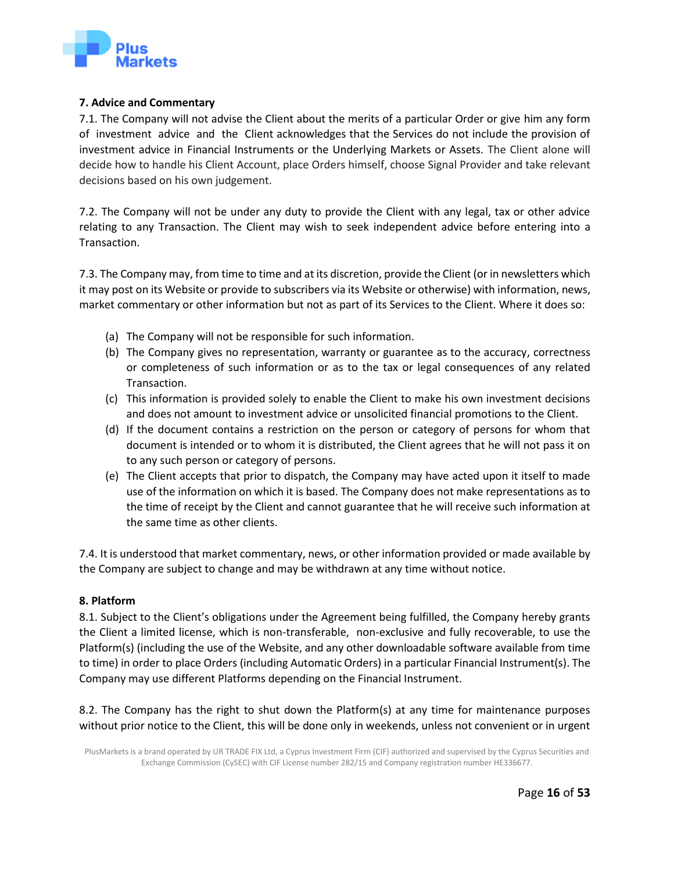

## **7. Advice and Commentary**

<span id="page-15-0"></span>7.1. The Company will not advise the Client about the merits of a particular Order or give him any form of investment advice and the Client acknowledges that the Services do not include the provision of investment advice in Financial Instruments or the Underlying Markets or Assets. The Client alone will decide how to handle his Client Account, place Orders himself, choose Signal Provider and take relevant decisions based on his own judgement.

7.2. The Company will not be under any duty to provide the Client with any legal, tax or other advice relating to any Transaction. The Client may wish to seek independent advice before entering into a Transaction.

7.3. The Company may, from time to time and at its discretion, provide the Client (or in newsletters which it may post on its Website or provide to subscribers via its Website or otherwise) with information, news, market commentary or other information but not as part of its Services to the Client. Where it does so:

- (a) The Company will not be responsible for such information.
- (b) The Company gives no representation, warranty or guarantee as to the accuracy, correctness or completeness of such information or as to the tax or legal consequences of any related Transaction.
- (c) This information is provided solely to enable the Client to make his own investment decisions and does not amount to investment advice or unsolicited financial promotions to the Client.
- (d) If the document contains a restriction on the person or category of persons for whom that document is intended or to whom it is distributed, the Client agrees that he will not pass it on to any such person or category of persons.
- (e) The Client accepts that prior to dispatch, the Company may have acted upon it itself to made use of the information on which it is based. The Company does not make representations as to the time of receipt by the Client and cannot guarantee that he will receive such information at the same time as other clients.

7.4. It is understood that market commentary, news, or other information provided or made available by the Company are subject to change and may be withdrawn at any time without notice.

## **8. Platform**

<span id="page-15-1"></span>8.1. Subject to the Client's obligations under the Agreement being fulfilled, the Company hereby grants the Client a limited license, which is non-transferable, non-exclusive and fully recoverable, to use the Platform(s) (including the use of the Website, and any other downloadable software available from time to time) in order to place Orders (including Automatic Orders) in a particular Financial Instrument(s). The Company may use different Platforms depending on the Financial Instrument.

8.2. The Company has the right to shut down the Platform(s) at any time for maintenance purposes without prior notice to the Client, this will be done only in weekends, unless not convenient or in urgent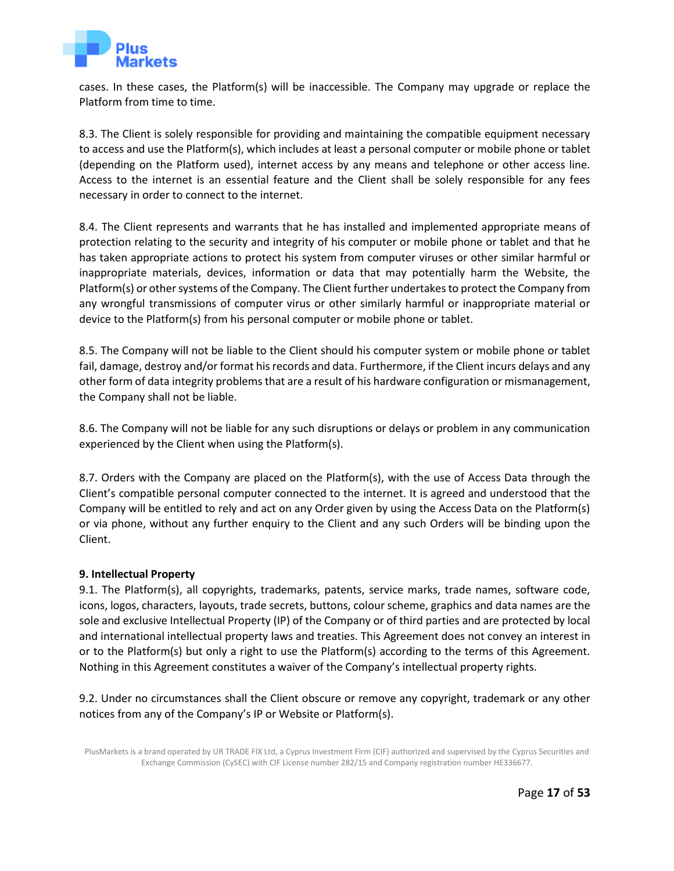

cases. In these cases, the Platform(s) will be inaccessible. The Company may upgrade or replace the Platform from time to time.

8.3. The Client is solely responsible for providing and maintaining the compatible equipment necessary to access and use the Platform(s), which includes at least a personal computer or mobile phone or tablet (depending on the Platform used), internet access by any means and telephone or other access line. Access to the internet is an essential feature and the Client shall be solely responsible for any fees necessary in order to connect to the internet.

8.4. The Client represents and warrants that he has installed and implemented appropriate means of protection relating to the security and integrity of his computer or mobile phone or tablet and that he has taken appropriate actions to protect his system from computer viruses or other similar harmful or inappropriate materials, devices, information or data that may potentially harm the Website, the Platform(s) or other systems of the Company. The Client further undertakes to protect the Company from any wrongful transmissions of computer virus or other similarly harmful or inappropriate material or device to the Platform(s) from his personal computer or mobile phone or tablet.

8.5. The Company will not be liable to the Client should his computer system or mobile phone or tablet fail, damage, destroy and/or format his records and data. Furthermore, if the Client incurs delays and any other form of data integrity problems that are a result of his hardware configuration or mismanagement, the Company shall not be liable.

8.6. The Company will not be liable for any such disruptions or delays or problem in any communication experienced by the Client when using the Platform(s).

8.7. Orders with the Company are placed on the Platform(s), with the use of Access Data through the Client's compatible personal computer connected to the internet. It is agreed and understood that the Company will be entitled to rely and act on any Order given by using the Access Data on the Platform(s) or via phone, without any further enquiry to the Client and any such Orders will be binding upon the Client.

## **9. Intellectual Property**

<span id="page-16-0"></span>9.1. The Platform(s), all copyrights, trademarks, patents, service marks, trade names, software code, icons, logos, characters, layouts, trade secrets, buttons, colour scheme, graphics and data names are the sole and exclusive Intellectual Property (IP) of the Company or of third parties and are protected by local and international intellectual property laws and treaties. This Agreement does not convey an interest in or to the Platform(s) but only a right to use the Platform(s) according to the terms of this Agreement. Nothing in this Agreement constitutes a waiver of the Company's intellectual property rights.

9.2. Under no circumstances shall the Client obscure or remove any copyright, trademark or any other notices from any of the Company's IP or Website or Platform(s).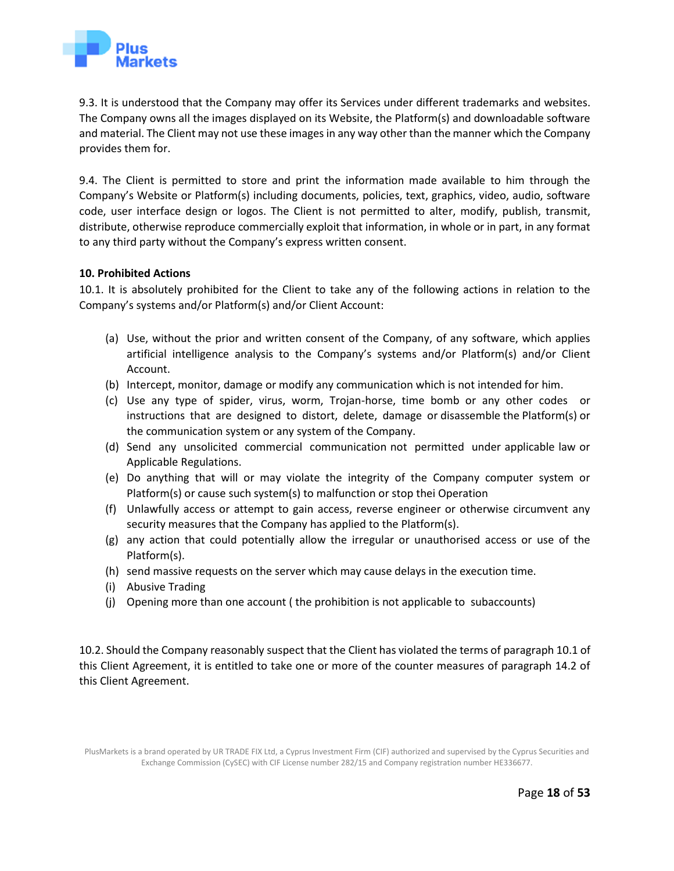

9.3. It is understood that the Company may offer its Services under different trademarks and websites. The Company owns all the images displayed on its Website, the Platform(s) and downloadable software and material. The Client may not use these images in any way other than the manner which the Company provides them for.

9.4. The Client is permitted to store and print the information made available to him through the Company's Website or Platform(s) including documents, policies, text, graphics, video, audio, software code, user interface design or logos. The Client is not permitted to alter, modify, publish, transmit, distribute, otherwise reproduce commercially exploit that information, in whole or in part, in any format to any third party without the Company's express written consent.

#### **10. Prohibited Actions**

10.1. It is absolutely prohibited for the Client to take any of the following actions in relation to the Company's systems and/or Platform(s) and/or Client Account:

- <span id="page-17-0"></span>(a) Use, without the prior and written consent of the Company, of any software, which applies artificial intelligence analysis to the Company's systems and/or Platform(s) and/or Client Account.
- (b) Intercept, monitor, damage or modify any communication which is not intended for him.
- (c) Use any type of spider, virus, worm, Trojan-horse, time bomb or any other codes or instructions that are designed to distort, delete, damage or disassemble the Platform(s) or the communication system or any system of the Company.
- (d) Send any unsolicited commercial communication not permitted under applicable law or Applicable Regulations.
- (e) Do anything that will or may violate the integrity of the Company computer system or Platform(s) or cause such system(s) to malfunction or stop thei Operation
- (f) Unlawfully access or attempt to gain access, reverse engineer or otherwise circumvent any security measures that the Company has applied to the Platform(s).
- (g) any action that could potentially allow the irregular or unauthorised access or use of the Platform(s).
- (h) send massive requests on the server which may cause delays in the execution time.
- (i) Abusive Trading
- (j) Opening more than one account ( the prohibition is not applicable to subaccounts)

10.2. Should the Company reasonably suspect that the Client has violated the terms of paragraph 10.1 of this Client Agreement, it is entitled to take one or more of the counter measures of paragraph 14.2 of this Client Agreement.

PlusMarkets is a brand operated by UR TRADE FIX Ltd, a Cyprus Investment Firm (CIF) authorized and supervised by the Cyprus Securities and Exchange Commission (CySEC) with CIF License number 282/15 and Company registration number HE336677.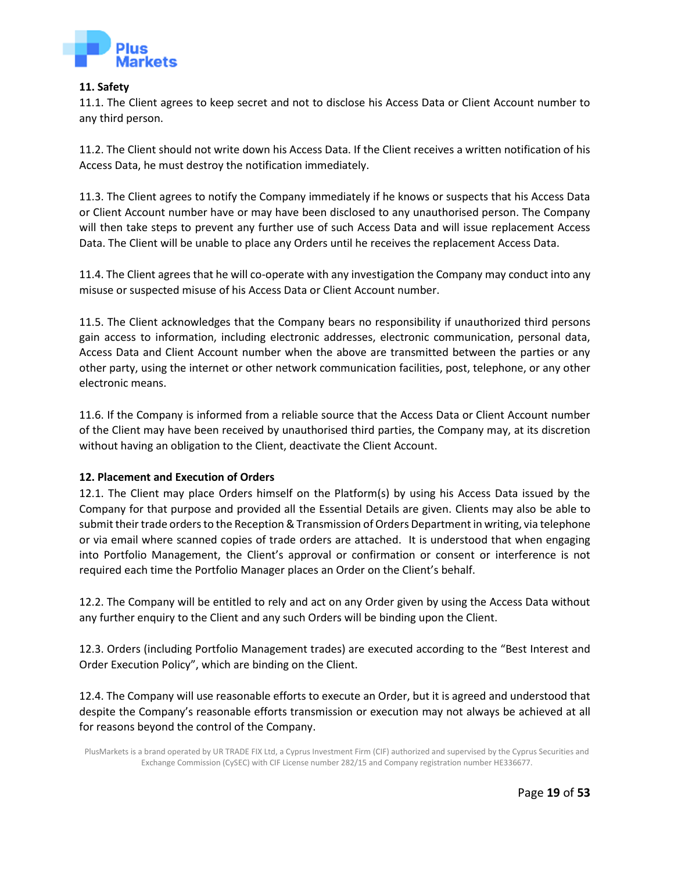

#### **11. Safety**

11.1. The Client agrees to keep secret and not to disclose his Access Data or Client Account number to any third person.

<span id="page-18-0"></span>11.2. The Client should not write down his Access Data. If the Client receives a written notification of his Access Data, he must destroy the notification immediately.

11.3. The Client agrees to notify the Company immediately if he knows or suspects that his Access Data or Client Account number have or may have been disclosed to any unauthorised person. The Company will then take steps to prevent any further use of such Access Data and will issue replacement Access Data. The Client will be unable to place any Orders until he receives the replacement Access Data.

11.4. The Client agrees that he will co-operate with any investigation the Company may conduct into any misuse or suspected misuse of his Access Data or Client Account number.

11.5. The Client acknowledges that the Company bears no responsibility if unauthorized third persons gain access to information, including electronic addresses, electronic communication, personal data, Access Data and Client Account number when the above are transmitted between the parties or any other party, using the internet or other network communication facilities, post, telephone, or any other electronic means.

11.6. If the Company is informed from a reliable source that the Access Data or Client Account number of the Client may have been received by unauthorised third parties, the Company may, at its discretion without having an obligation to the Client, deactivate the Client Account.

## **12. Placement and Execution of Orders**

<span id="page-18-1"></span>12.1. The Client may place Orders himself on the Platform(s) by using his Access Data issued by the Company for that purpose and provided all the Essential Details are given. Clients may also be able to submit their trade orders to the Reception & Transmission of Orders Department in writing, via telephone or via email where scanned copies of trade orders are attached. It is understood that when engaging into Portfolio Management, the Client's approval or confirmation or consent or interference is not required each time the Portfolio Manager places an Order on the Client's behalf.

12.2. The Company will be entitled to rely and act on any Order given by using the Access Data without any further enquiry to the Client and any such Orders will be binding upon the Client.

12.3. Orders (including Portfolio Management trades) are executed according to the "Best Interest and Order Execution Policy", which are binding on the Client.

12.4. The Company will use reasonable efforts to execute an Order, but it is agreed and understood that despite the Company's reasonable efforts transmission or execution may not always be achieved at all for reasons beyond the control of the Company.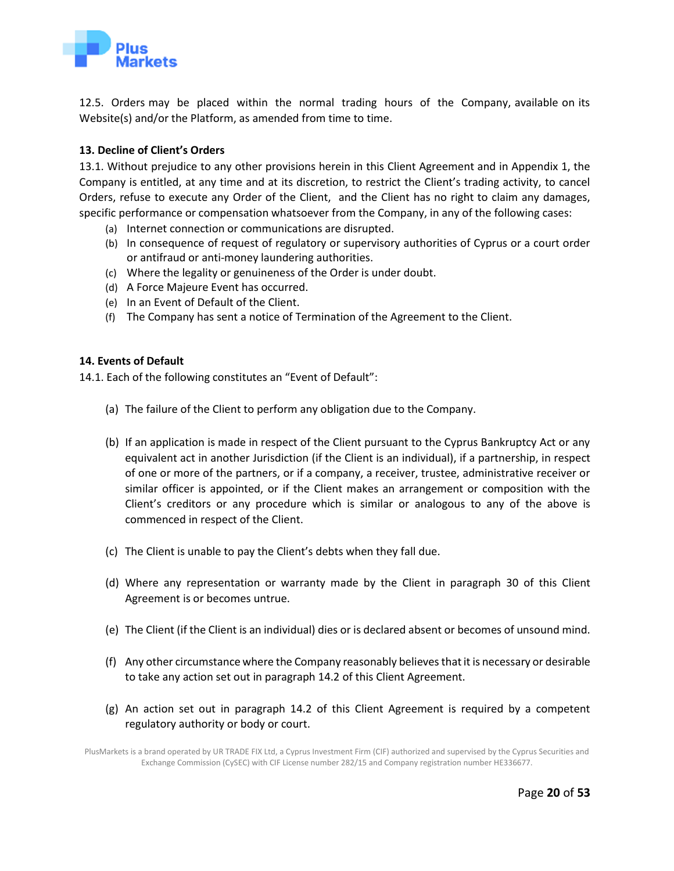

12.5. Orders may be placed within the normal trading hours of the Company, available on its Website(s) and/or the Platform, as amended from time to time.

# **13. Decline of Client's Orders**

<span id="page-19-0"></span>13.1. Without prejudice to any other provisions herein in this Client Agreement and in Appendix 1, the Company is entitled, at any time and at its discretion, to restrict the Client's trading activity, to cancel Orders, refuse to execute any Order of the Client, and the Client has no right to claim any damages, specific performance or compensation whatsoever from the Company, in any of the following cases:

- (a) Internet connection or communications are disrupted.
- (b) In consequence of request of regulatory or supervisory authorities of Cyprus or a court order or antifraud or anti-money laundering authorities.
- (c) Where the legality or genuineness of the Order is under doubt.
- (d) A Force Majeure Event has occurred.
- (e) In an Event of Default of the Client.
- (f) The Company has sent a notice of Termination of the Agreement to the Client.

## **14. Events of Default**

14.1. Each of the following constitutes an "Event of Default":

- <span id="page-19-1"></span>(a) The failure of the Client to perform any obligation due to the Company.
- (b) If an application is made in respect of the Client pursuant to the Cyprus Bankruptcy Act or any equivalent act in another Jurisdiction (if the Client is an individual), if a partnership, in respect of one or more of the partners, or if a company, a receiver, trustee, administrative receiver or similar officer is appointed, or if the Client makes an arrangement or composition with the Client's creditors or any procedure which is similar or analogous to any of the above is commenced in respect of the Client.
- (c) The Client is unable to pay the Client's debts when they fall due.
- (d) Where any representation or warranty made by the Client in paragraph 30 of this Client Agreement is or becomes untrue.
- (e) The Client (if the Client is an individual) dies or is declared absent or becomes of unsound mind.
- (f) Any other circumstance where the Company reasonably believes that it is necessary or desirable to take any action set out in paragraph 14.2 of this Client Agreement.
- (g) An action set out in paragraph 14.2 of this Client Agreement is required by a competent regulatory authority or body or court.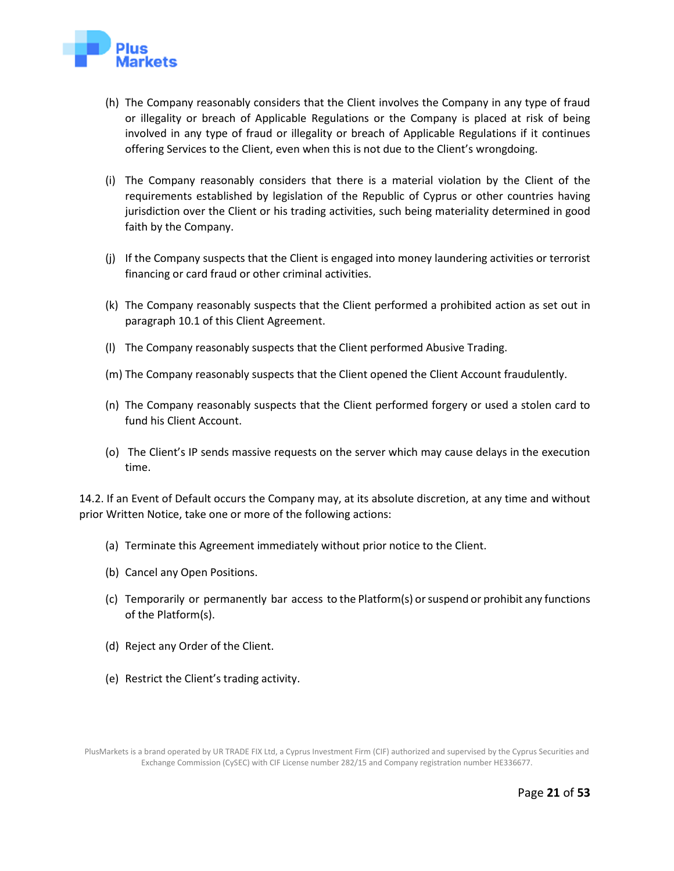

- (h) The Company reasonably considers that the Client involves the Company in any type of fraud or illegality or breach of Applicable Regulations or the Company is placed at risk of being involved in any type of fraud or illegality or breach of Applicable Regulations if it continues offering Services to the Client, even when this is not due to the Client's wrongdoing.
- (i) The Company reasonably considers that there is a material violation by the Client of the requirements established by legislation of the Republic of Cyprus or other countries having jurisdiction over the Client or his trading activities, such being materiality determined in good faith by the Company.
- (j) If the Company suspects that the Client is engaged into money laundering activities or terrorist financing or card fraud or other criminal activities.
- (k) The Company reasonably suspects that the Client performed a prohibited action as set out in paragraph 10.1 of this Client Agreement.
- (l) The Company reasonably suspects that the Client performed Abusive Trading.
- (m) The Company reasonably suspects that the Client opened the Client Account fraudulently.
- (n) The Company reasonably suspects that the Client performed forgery or used a stolen card to fund his Client Account.
- (o) The Client's IP sends massive requests on the server which may cause delays in the execution time.

14.2. If an Event of Default occurs the Company may, at its absolute discretion, at any time and without prior Written Notice, take one or more of the following actions:

- (a) Terminate this Agreement immediately without prior notice to the Client.
- (b) Cancel any Open Positions.
- (c) Temporarily or permanently bar access to the Platform(s) or suspend or prohibit any functions of the Platform(s).
- (d) Reject any Order of the Client.
- (e) Restrict the Client's trading activity.

PlusMarkets is a brand operated by UR TRADE FIX Ltd, a Cyprus Investment Firm (CIF) authorized and supervised by the Cyprus Securities and Exchange Commission (CySEC) with CIF License number 282/15 and Company registration number HE336677.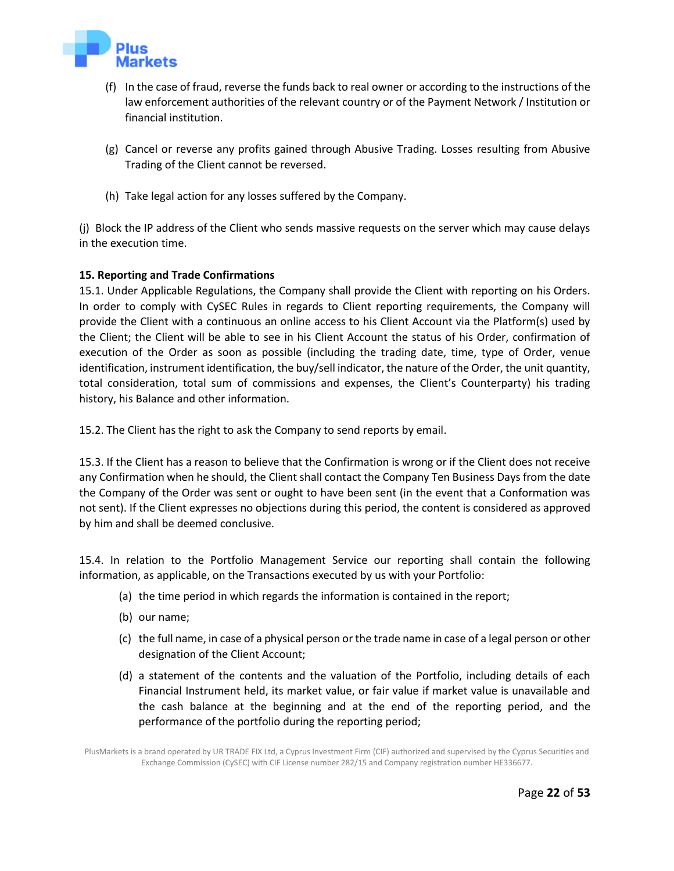

- (f) In the case of fraud, reverse the funds back to real owner or according to the instructions of the law enforcement authorities of the relevant country or of the Payment Network / Institution or financial institution.
- (g) Cancel or reverse any profits gained through Abusive Trading. Losses resulting from Abusive Trading of the Client cannot be reversed.
- (h) Take legal action for any losses suffered by the Company.

(j) Block the IP address of the Client who sends massive requests on the server which may cause delays in the execution time.

# **15. Reporting and Trade Confirmations**

<span id="page-21-0"></span>15.1. Under Applicable Regulations, the Company shall provide the Client with reporting on his Orders. In order to comply with CySEC Rules in regards to Client reporting requirements, the Company will provide the Client with a continuous an online access to his Client Account via the Platform(s) used by the Client; the Client will be able to see in his Client Account the status of his Order, confirmation of execution of the Order as soon as possible (including the trading date, time, type of Order, venue identification, instrument identification, the buy/sell indicator, the nature of the Order, the unit quantity, total consideration, total sum of commissions and expenses, the Client's Counterparty) his trading history, his Balance and other information.

15.2. The Client has the right to ask the Company to send reports by email.

15.3. If the Client has a reason to believe that the Confirmation is wrong or if the Client does not receive any Confirmation when he should, the Client shall contact the Company Ten Business Days from the date the Company of the Order was sent or ought to have been sent (in the event that a Conformation was not sent). If the Client expresses no objections during this period, the content is considered as approved by him and shall be deemed conclusive.

15.4. In relation to the Portfolio Management Service our reporting shall contain the following information, as applicable, on the Transactions executed by us with your Portfolio:

- (a) the time period in which regards the information is contained in the report;
- (b) our name;
- (c) the full name, in case of a physical person or the trade name in case of a legal person or other designation of the Client Account;
- (d) a statement of the contents and the valuation of the Portfolio, including details of each Financial Instrument held, its market value, or fair value if market value is unavailable and the cash balance at the beginning and at the end of the reporting period, and the performance of the portfolio during the reporting period;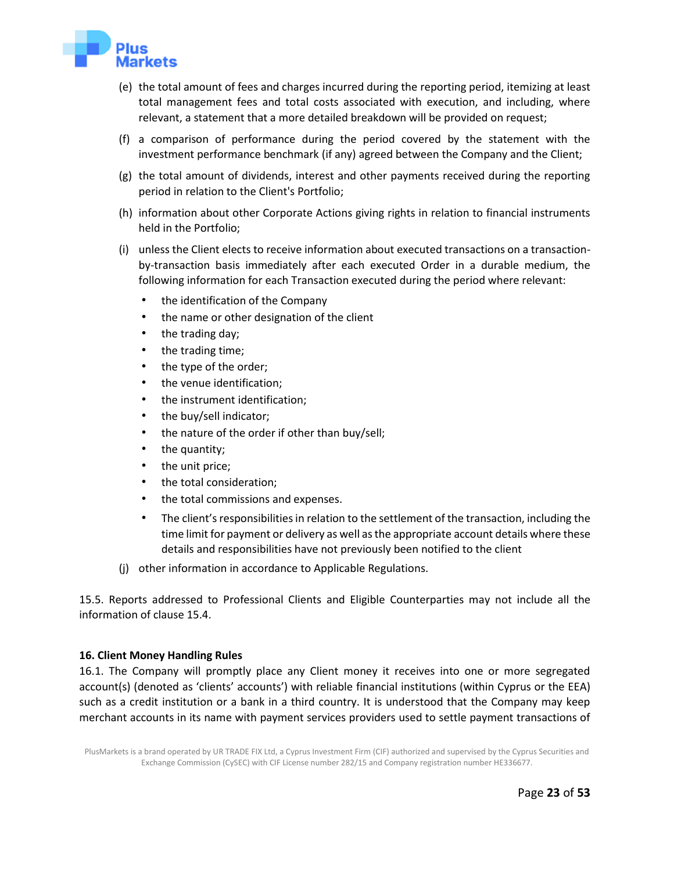

- (e) the total amount of fees and charges incurred during the reporting period, itemizing at least total management fees and total costs associated with execution, and including, where relevant, a statement that a more detailed breakdown will be provided on request;
- (f) a comparison of performance during the period covered by the statement with the investment performance benchmark (if any) agreed between the Company and the Client;
- (g) the total amount of dividends, interest and other payments received during the reporting period in relation to the Client's Portfolio;
- (h) information about other Corporate Actions giving rights in relation to financial instruments held in the Portfolio;
- (i) unless the Client elects to receive information about executed transactions on a transactionby-transaction basis immediately after each executed Order in a durable medium, the following information for each Transaction executed during the period where relevant:
	- the identification of the Company
	- the name or other designation of the client
	- the trading day;
	- the trading time;
	- the type of the order;
	- the venue identification;
	- the instrument identification;
	- the buy/sell indicator;
	- the nature of the order if other than buy/sell;
	- the quantity;
	- the unit price;
	- the total consideration;
	- the total commissions and expenses.
	- The client's responsibilities in relation to the settlement of the transaction, including the time limit for payment or delivery as well as the appropriate account details where these details and responsibilities have not previously been notified to the client
- (j) other information in accordance to Applicable Regulations.

15.5. Reports addressed to Professional Clients and Eligible Counterparties may not include all the information of clause 15.4.

## **16. Client Money Handling Rules**

<span id="page-22-0"></span>16.1. The Company will promptly place any Client money it receives into one or more segregated account(s) (denoted as 'clients' accounts') with reliable financial institutions (within Cyprus or the EEA) such as a credit institution or a bank in a third country. It is understood that the Company may keep merchant accounts in its name with payment services providers used to settle payment transactions of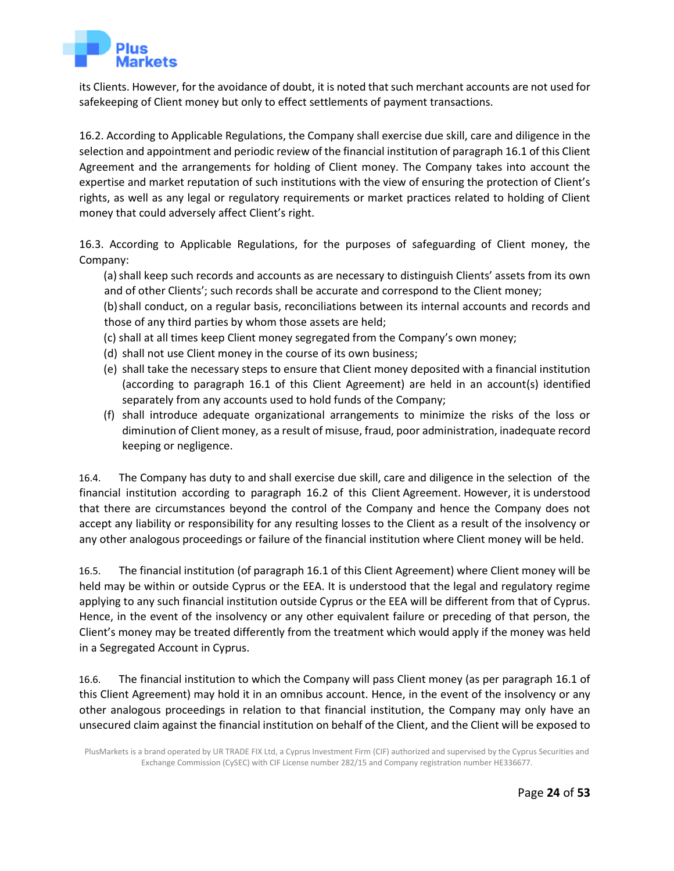

its Clients. However, for the avoidance of doubt, it is noted that such merchant accounts are not used for safekeeping of Client money but only to effect settlements of payment transactions.

16.2. According to Applicable Regulations, the Company shall exercise due skill, care and diligence in the selection and appointment and periodic review of the financial institution of paragraph 16.1 of this Client Agreement and the arrangements for holding of Client money. The Company takes into account the expertise and market reputation of such institutions with the view of ensuring the protection of Client's rights, as well as any legal or regulatory requirements or market practices related to holding of Client money that could adversely affect Client's right.

16.3. According to Applicable Regulations, for the purposes of safeguarding of Client money, the Company:

(a) shall keep such records and accounts as are necessary to distinguish Clients' assets from its own and of other Clients'; such records shall be accurate and correspond to the Client money;

(b)shall conduct, on a regular basis, reconciliations between its internal accounts and records and those of any third parties by whom those assets are held;

- (c) shall at all times keep Client money segregated from the Company's own money;
- (d) shall not use Client money in the course of its own business;
- (e) shall take the necessary steps to ensure that Client money deposited with a financial institution (according to paragraph 16.1 of this Client Agreement) are held in an account(s) identified separately from any accounts used to hold funds of the Company;
- (f) shall introduce adequate organizational arrangements to minimize the risks of the loss or diminution of Client money, as a result of misuse, fraud, poor administration, inadequate record keeping or negligence.

16.4. The Company has duty to and shall exercise due skill, care and diligence in the selection of the financial institution according to paragraph 16.2 of this Client Agreement. However, it is understood that there are circumstances beyond the control of the Company and hence the Company does not accept any liability or responsibility for any resulting losses to the Client as a result of the insolvency or any other analogous proceedings or failure of the financial institution where Client money will be held.

16.5. The financial institution (of paragraph 16.1 of this Client Agreement) where Client money will be held may be within or outside Cyprus or the EEA. It is understood that the legal and regulatory regime applying to any such financial institution outside Cyprus or the EEA will be different from that of Cyprus. Hence, in the event of the insolvency or any other equivalent failure or preceding of that person, the Client's money may be treated differently from the treatment which would apply if the money was held in a Segregated Account in Cyprus.

16.6. The financial institution to which the Company will pass Client money (as per paragraph 16.1 of this Client Agreement) may hold it in an omnibus account. Hence, in the event of the insolvency or any other analogous proceedings in relation to that financial institution, the Company may only have an unsecured claim against the financial institution on behalf of the Client, and the Client will be exposed to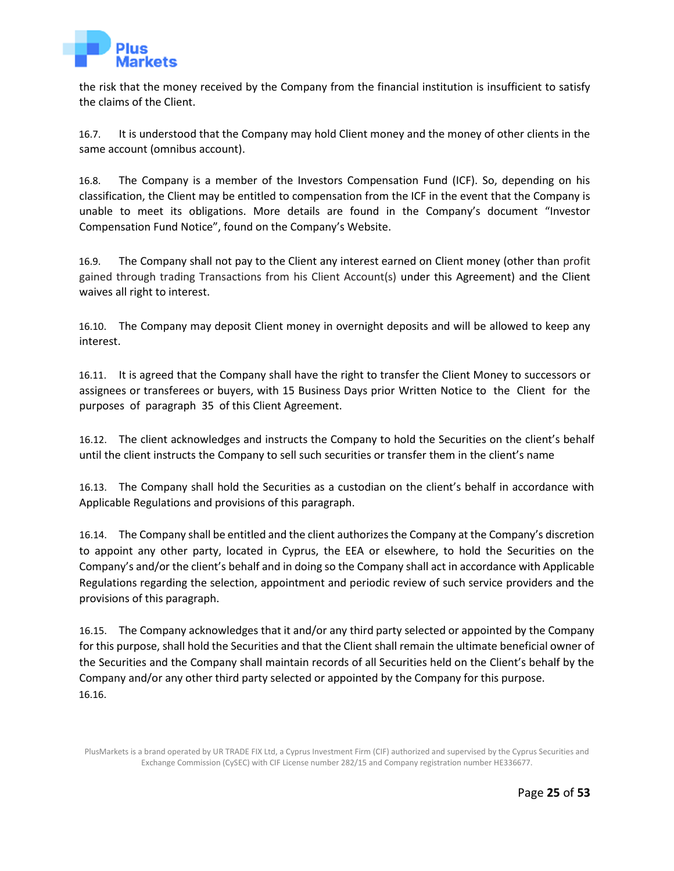

the risk that the money received by the Company from the financial institution is insufficient to satisfy the claims of the Client.

16.7. It is understood that the Company may hold Client money and the money of other clients in the same account (omnibus account).

16.8. The Company is a member of the Investors Compensation Fund (ICF). So, depending on his classification, the Client may be entitled to compensation from the ICF in the event that the Company is unable to meet its obligations. More details are found in the Company's document "Investor Compensation Fund Notice", found on the Company's Website.

16.9. The Company shall not pay to the Client any interest earned on Client money (other than profit gained through trading Transactions from his Client Account(s) under this Agreement) and the Client waives all right to interest.

16.10. The Company may deposit Client money in overnight deposits and will be allowed to keep any interest.

16.11. It is agreed that the Company shall have the right to transfer the Client Money to successors or assignees or transferees or buyers, with 15 Business Days prior Written Notice to the Client for the purposes of paragraph 35 of this Client Agreement.

16.12. The client acknowledges and instructs the Company to hold the Securities on the client's behalf until the client instructs the Company to sell such securities or transfer them in the client's name

16.13. The Company shall hold the Securities as a custodian on the client's behalf in accordance with Applicable Regulations and provisions of this paragraph.

16.14. The Company shall be entitled and the client authorizes the Company at the Company's discretion to appoint any other party, located in Cyprus, the EEA or elsewhere, to hold the Securities on the Company's and/or the client's behalf and in doing so the Company shall act in accordance with Applicable Regulations regarding the selection, appointment and periodic review of such service providers and the provisions of this paragraph.

16.15. The Company acknowledges that it and/or any third party selected or appointed by the Company for this purpose, shall hold the Securities and that the Client shall remain the ultimate beneficial owner of the Securities and the Company shall maintain records of all Securities held on the Client's behalf by the Company and/or any other third party selected or appointed by the Company for this purpose. 16.16.

PlusMarkets is a brand operated by UR TRADE FIX Ltd, a Cyprus Investment Firm (CIF) authorized and supervised by the Cyprus Securities and Exchange Commission (CySEC) with CIF License number 282/15 and Company registration number HE336677.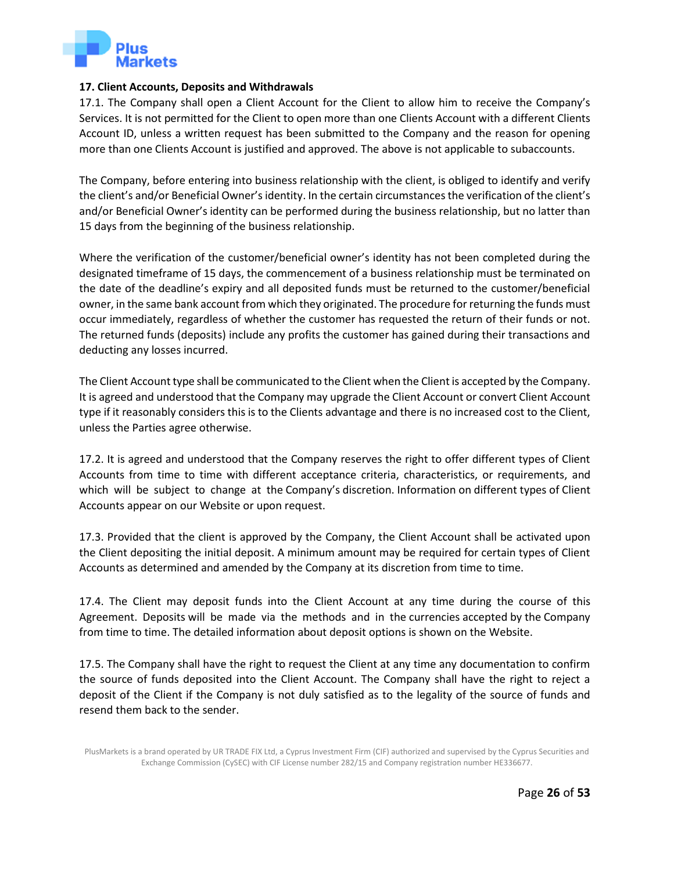

## **17. Client Accounts, Deposits and Withdrawals**

<span id="page-25-0"></span>17.1. The Company shall open a Client Account for the Client to allow him to receive the Company's Services. It is not permitted for the Client to open more than one Clients Account with a different Clients Account ID, unless a written request has been submitted to the Company and the reason for opening more than one Clients Account is justified and approved. The above is not applicable to subaccounts.

The Company, before entering into business relationship with the client, is obliged to identify and verify the client's and/or Beneficial Owner's identity. In the certain circumstances the verification of the client's and/or Beneficial Owner's identity can be performed during the business relationship, but no latter than 15 days from the beginning of the business relationship.

Where the verification of the customer/beneficial owner's identity has not been completed during the designated timeframe of 15 days, the commencement of a business relationship must be terminated on the date of the deadline's expiry and all deposited funds must be returned to the customer/beneficial owner, in the same bank account from which they originated. The procedure for returning the funds must occur immediately, regardless of whether the customer has requested the return of their funds or not. The returned funds (deposits) include any profits the customer has gained during their transactions and deducting any losses incurred.

The Client Account type shall be communicated to the Client when the Client is accepted by the Company. It is agreed and understood that the Company may upgrade the Client Account or convert Client Account type if it reasonably considers this is to the Clients advantage and there is no increased cost to the Client, unless the Parties agree otherwise.

17.2. It is agreed and understood that the Company reserves the right to offer different types of Client Accounts from time to time with different acceptance criteria, characteristics, or requirements, and which will be subject to change at the Company's discretion. Information on different types of Client Accounts appear on our Website or upon request.

17.3. Provided that the client is approved by the Company, the Client Account shall be activated upon the Client depositing the initial deposit. A minimum amount may be required for certain types of Client Accounts as determined and amended by the Company at its discretion from time to time.

17.4. The Client may deposit funds into the Client Account at any time during the course of this Agreement. Deposits will be made via the methods and in the currencies accepted by the Company from time to time. The detailed information about deposit options is shown on the Website.

17.5. The Company shall have the right to request the Client at any time any documentation to confirm the source of funds deposited into the Client Account. The Company shall have the right to reject a deposit of the Client if the Company is not duly satisfied as to the legality of the source of funds and resend them back to the sender.

PlusMarkets is a brand operated by UR TRADE FIX Ltd, a Cyprus Investment Firm (CIF) authorized and supervised by the Cyprus Securities and Exchange Commission (CySEC) with CIF License number 282/15 and Company registration number HE336677.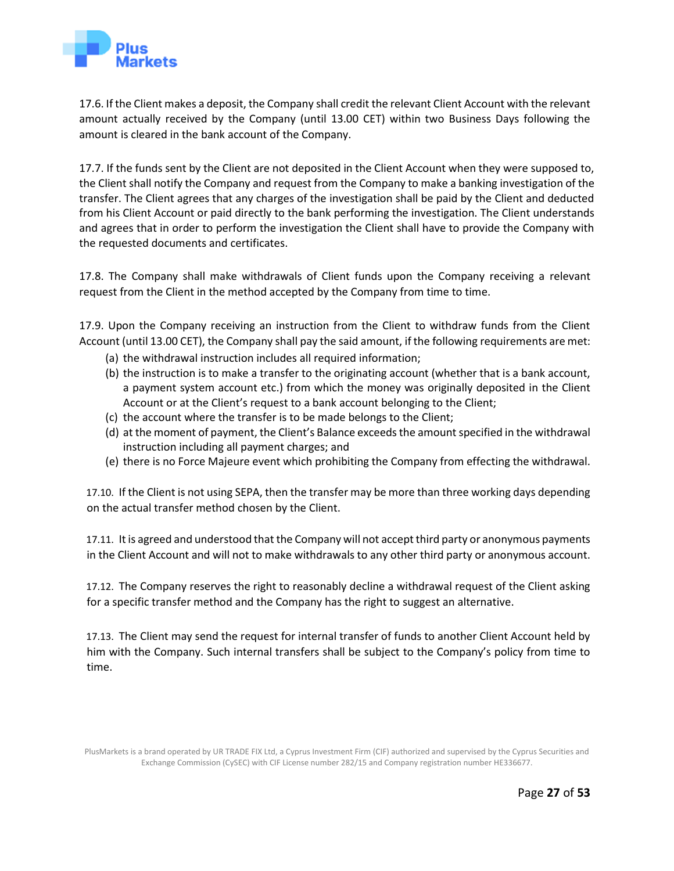

17.6. If the Client makes a deposit, the Company shall credit the relevant Client Account with the relevant amount actually received by the Company (until 13.00 CET) within two Business Days following the amount is cleared in the bank account of the Company.

17.7. If the funds sent by the Client are not deposited in the Client Account when they were supposed to, the Client shall notify the Company and request from the Company to make a banking investigation of the transfer. The Client agrees that any charges of the investigation shall be paid by the Client and deducted from his Client Account or paid directly to the bank performing the investigation. The Client understands and agrees that in order to perform the investigation the Client shall have to provide the Company with the requested documents and certificates.

17.8. The Company shall make withdrawals of Client funds upon the Company receiving a relevant request from the Client in the method accepted by the Company from time to time.

17.9. Upon the Company receiving an instruction from the Client to withdraw funds from the Client Account (until 13.00 CET), the Company shall pay the said amount, if the following requirements are met:

- (a) the withdrawal instruction includes all required information;
- (b) the instruction is to make a transfer to the originating account (whether that is a bank account, a payment system account etc.) from which the money was originally deposited in the Client Account or at the Client's request to a bank account belonging to the Client;
- (c) the account where the transfer is to be made belongs to the Client;
- (d) at the moment of payment, the Client's Balance exceeds the amount specified in the withdrawal instruction including all payment charges; and
- (e) there is no Force Majeure event which prohibiting the Company from effecting the withdrawal.

17.10. If the Client is not using SEPA, then the transfer may be more than three working days depending on the actual transfer method chosen by the Client.

17.11. It is agreed and understood that the Company will not accept third party or anonymous payments in the Client Account and will not to make withdrawals to any other third party or anonymous account.

17.12. The Company reserves the right to reasonably decline a withdrawal request of the Client asking for a specific transfer method and the Company has the right to suggest an alternative.

17.13. The Client may send the request for internal transfer of funds to another Client Account held by him with the Company. Such internal transfers shall be subject to the Company's policy from time to time.

PlusMarkets is a brand operated by UR TRADE FIX Ltd, a Cyprus Investment Firm (CIF) authorized and supervised by the Cyprus Securities and Exchange Commission (CySEC) with CIF License number 282/15 and Company registration number HE336677.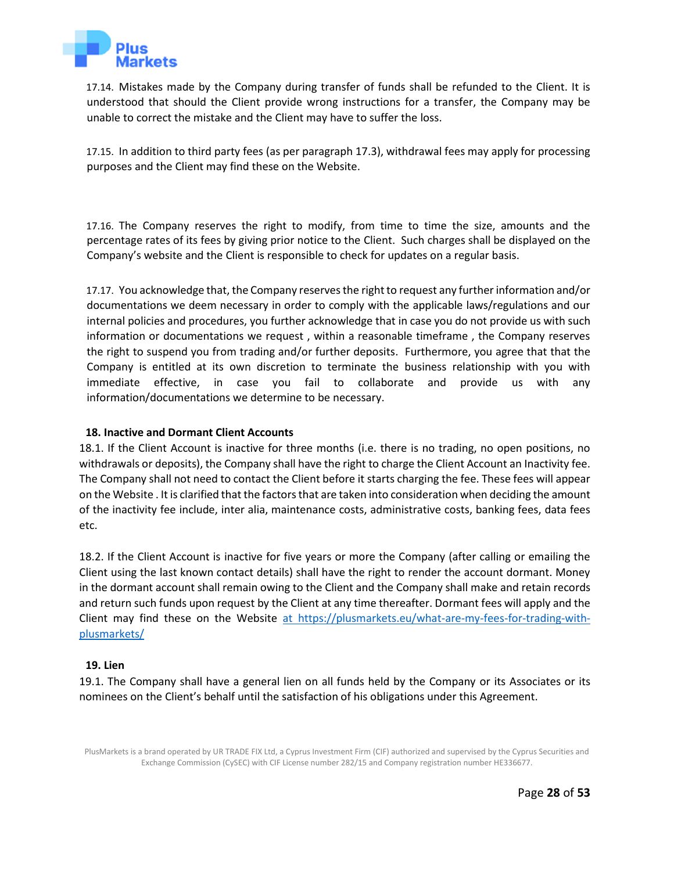

17.14. Mistakes made by the Company during transfer of funds shall be refunded to the Client. It is understood that should the Client provide wrong instructions for a transfer, the Company may be unable to correct the mistake and the Client may have to suffer the loss.

17.15. In addition to third party fees (as per paragraph 17.3), withdrawal fees may apply for processing purposes and the Client may find these on the Website.

17.16. The Company reserves the right to modify, from time to time the size, amounts and the percentage rates of its fees by giving prior notice to the Client. Such charges shall be displayed on the Company's website and the Client is responsible to check for updates on a regular basis.

17.17. You acknowledge that, the Company reserves the right to request any further information and/or documentations we deem necessary in order to comply with the applicable laws/regulations and our internal policies and procedures, you further acknowledge that in case you do not provide us with such information or documentations we request , within a reasonable timeframe , the Company reserves the right to suspend you from trading and/or further deposits. Furthermore, you agree that that the Company is entitled at its own discretion to terminate the business relationship with you with immediate effective, in case you fail to collaborate and provide us with any information/documentations we determine to be necessary.

## **18. Inactive and Dormant Client Accounts**

<span id="page-27-0"></span>18.1. If the Client Account is inactive for three months (i.e. there is no trading, no open positions, no withdrawals or deposits), the Company shall have the right to charge the Client Account an Inactivity fee. The Company shall not need to contact the Client before it starts charging the fee. These fees will appear on the Websit[e](https://s3.amazonaws.com/tradeostatic/legal/Fees.pdf) [.](https://s3.amazonaws.com/tradeostatic/legal/Fees.pdf) It is clarified that the factors that are taken into consideration when deciding the amount of the inactivity fee include, inter alia, maintenance costs, administrative costs, banking fees, data fees etc.

18.2. If the Client Account is inactive for five years or more the Company (after calling or emailing the Client using the last known contact details) shall have the right to render the account dormant. Money in the dormant account shall remain owing to the Client and the Company shall make and retain records and return such funds upon request by the Client at any time thereafter. Dormant fees will apply and the Client may find these on the Website [at https://plusmarkets.eu/what-are-my-fees-for-trading-with](https://tradeocom-my.sharepoint.com/personal/pantelis_c_tradeo_com/Documents/UR%20Trade%20Fix%20LTD/COMPLIANCE/DOCUMENTS%20ON%20THE%20WEBSITE/PlusMarkets.eu/at%20https:/plusmarkets.eu/what-are-my-fees-for-trading-with-plusmarkets/)[plusmarkets/](https://tradeocom-my.sharepoint.com/personal/pantelis_c_tradeo_com/Documents/UR%20Trade%20Fix%20LTD/COMPLIANCE/DOCUMENTS%20ON%20THE%20WEBSITE/PlusMarkets.eu/at%20https:/plusmarkets.eu/what-are-my-fees-for-trading-with-plusmarkets/)

## **19. Lien**

<span id="page-27-1"></span>19.1. The Company shall have a general lien on all funds held by the Company or its Associates or its nominees on the Client's behalf until the satisfaction of his obligations under this Agreement.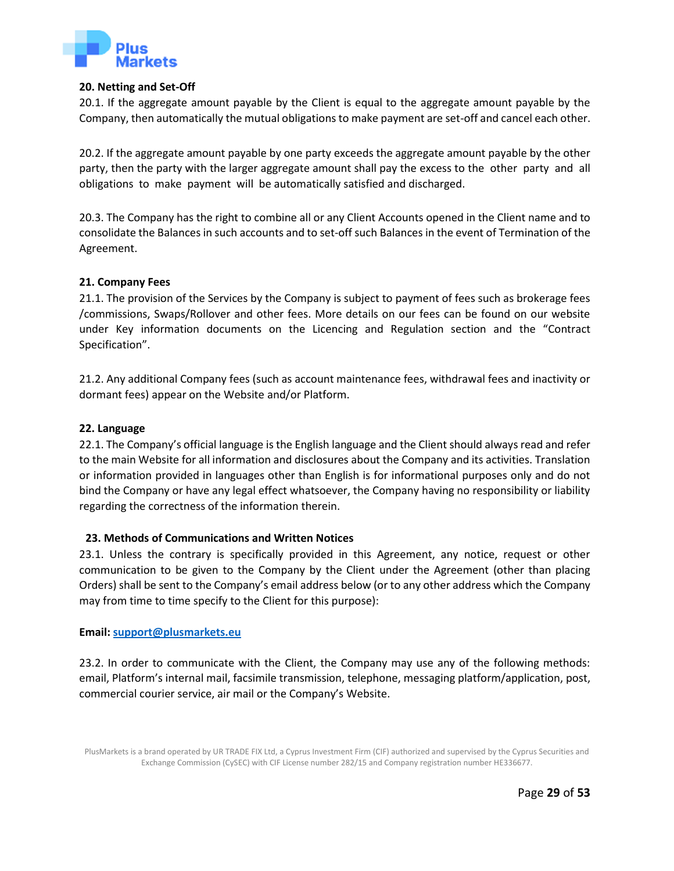

#### **20. Netting and Set-Off**

20.1. If the aggregate amount payable by the Client is equal to the aggregate amount payable by the Company, then automatically the mutual obligations to make payment are set-off and cancel each other.

<span id="page-28-0"></span>20.2. If the aggregate amount payable by one party exceeds the aggregate amount payable by the other party, then the party with the larger aggregate amount shall pay the excess to the other party and all obligations to make payment will be automatically satisfied and discharged.

20.3. The Company has the right to combine all or any Client Accounts opened in the Client name and to consolidate the Balances in such accounts and to set-off such Balances in the event of Termination of the Agreement.

#### **21. Company Fees**

<span id="page-28-1"></span>21.1. The provision of the Services by the Company is subject to payment of fees such as brokerage fees /commissions, Swaps/Rollover and other fees. More details on our fees can be found on our website under Key information documents on the Licencing and Regulation section and the "Contract Specification".

21.2. Any additional Company fees (such as account maintenance fees, withdrawal fees and inactivity or dormant fees) appear on the Website [an](https://s3.amazonaws.com/tradeostatic/legal/Fees.pdf)d/or Platform.

#### **22. Language**

<span id="page-28-2"></span>22.1. The Company's official language is the English language and the Client should always read and refer to the main Website for all information and disclosures about the Company and its activities. Translation or information provided in languages other than English is for informational purposes only and do not bind the Company or have any legal effect whatsoever, the Company having no responsibility or liability regarding the correctness of the information therein.

## **23. Methods of Communications and Written Notices**

<span id="page-28-3"></span>23.1. Unless the contrary is specifically provided in this Agreement, any notice, request or other communication to be given to the Company by the Client under the Agreement (other than placing Orders) shall be sent to the Company's email address below (or to any other address which the Company may from time to time specify to the Client for this purpose):

#### **Email[: support@plusmarkets.eu](mailto:support@plusmarkets.eu)**

23.2. In order to communicate with the Client, the Company may use any of the following methods: email, Platform's internal mail, facsimile transmission, telephone, messaging platform/application, post, commercial courier service, air mail or the Company's Website.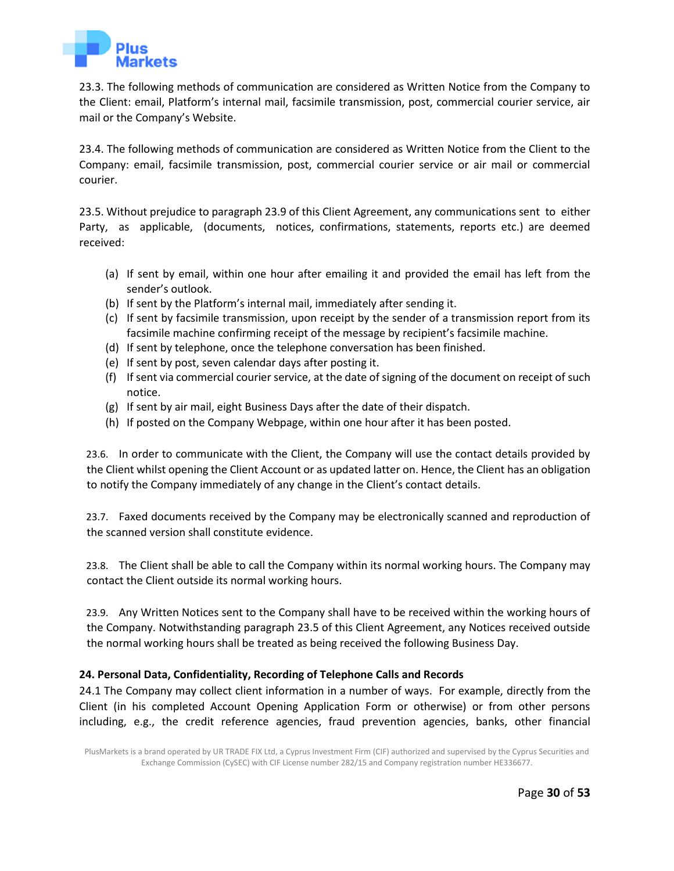

23.3. The following methods of communication are considered as Written Notice from the Company to the Client: email, Platform's internal mail, facsimile transmission, post, commercial courier service, air mail or the Company's Website.

23.4. The following methods of communication are considered as Written Notice from the Client to the Company: email, facsimile transmission, post, commercial courier service or air mail or commercial courier.

23.5. Without prejudice to paragraph 23.9 of this Client Agreement, any communications sent to either Party, as applicable, (documents, notices, confirmations, statements, reports etc.) are deemed received:

- (a) If sent by email, within one hour after emailing it and provided the email has left from the sender's outlook.
- (b) If sent by the Platform's internal mail, immediately after sending it.
- (c) If sent by facsimile transmission, upon receipt by the sender of a transmission report from its facsimile machine confirming receipt of the message by recipient's facsimile machine.
- (d) If sent by telephone, once the telephone conversation has been finished.
- (e) If sent by post, seven calendar days after posting it.
- (f) If sent via commercial courier service, at the date of signing of the document on receipt of such notice.
- (g) If sent by air mail, eight Business Days after the date of their dispatch.
- (h) If posted on the Company Webpage, within one hour after it has been posted.

23.6. In order to communicate with the Client, the Company will use the contact details provided by the Client whilst opening the Client Account or as updated latter on. Hence, the Client has an obligation to notify the Company immediately of any change in the Client's contact details.

23.7. Faxed documents received by the Company may be electronically scanned and reproduction of the scanned version shall constitute evidence.

23.8. The Client shall be able to call the Company within its normal working hours. The Company may contact the Client outside its normal working hours.

23.9. Any Written Notices sent to the Company shall have to be received within the working hours of the Company. Notwithstanding paragraph 23.5 of this Client Agreement, any Notices received outside the normal working hours shall be treated as being received the following Business Day.

## **24. Personal Data, Confidentiality, Recording of Telephone Calls and Records**

<span id="page-29-0"></span>24.1 The Company may collect client information in a number of ways. For example, directly from the Client (in his completed Account Opening Application Form or otherwise) or from other persons including, e.g., the credit reference agencies, fraud prevention agencies, banks, other financial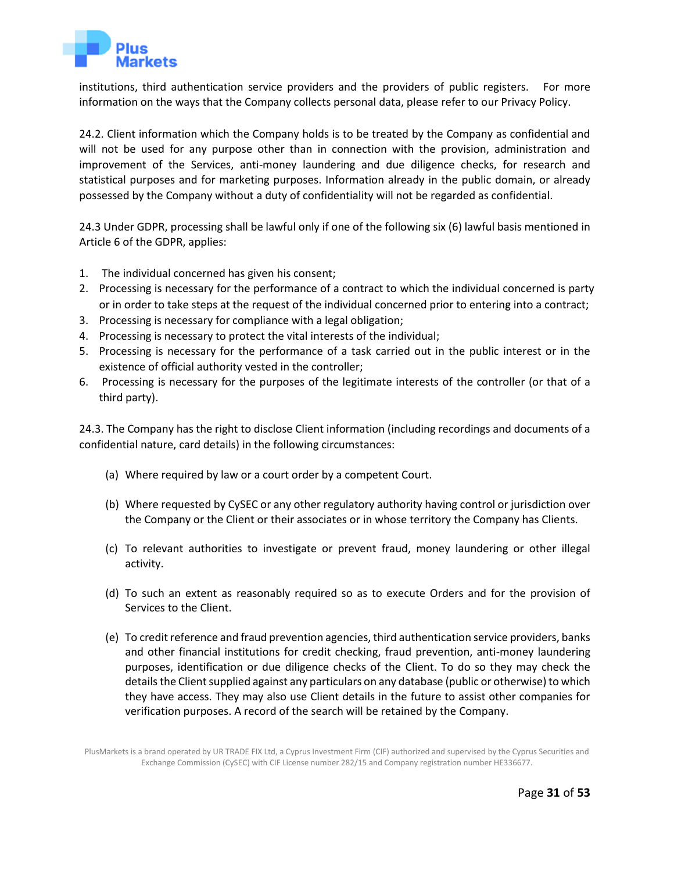

institutions, third authentication service providers and the providers of public registers. For more information on the ways that the Company collects personal data, please refer to our Privacy Policy.

24.2. Client information which the Company holds is to be treated by the Company as confidential and will not be used for any purpose other than in connection with the provision, administration and improvement of the Services, anti-money laundering and due diligence checks, for research and statistical purposes and for marketing purposes. Information already in the public domain, or already possessed by the Company without a duty of confidentiality will not be regarded as confidential.

24.3 Under GDPR, processing shall be lawful only if one of the following six (6) lawful basis mentioned in Article 6 of the GDPR, applies:

- 1. The individual concerned has given his consent;
- 2. Processing is necessary for the performance of a contract to which the individual concerned is party or in order to take steps at the request of the individual concerned prior to entering into a contract;
- 3. Processing is necessary for compliance with a legal obligation;
- 4. Processing is necessary to protect the vital interests of the individual;
- 5. Processing is necessary for the performance of a task carried out in the public interest or in the existence of official authority vested in the controller;
- 6. Processing is necessary for the purposes of the legitimate interests of the controller (or that of a third party).

24.3. The Company has the right to disclose Client information (including recordings and documents of a confidential nature, card details) in the following circumstances:

- (a) Where required by law or a court order by a competent Court.
- (b) Where requested by CySEC or any other regulatory authority having control or jurisdiction over the Company or the Client or their associates or in whose territory the Company has Clients.
- (c) To relevant authorities to investigate or prevent fraud, money laundering or other illegal activity.
- (d) To such an extent as reasonably required so as to execute Orders and for the provision of Services to the Client.
- (e) To credit reference and fraud prevention agencies, third authentication service providers, banks and other financial institutions for credit checking, fraud prevention, anti-money laundering purposes, identification or due diligence checks of the Client. To do so they may check the details the Client supplied against any particulars on any database (public or otherwise) to which they have access. They may also use Client details in the future to assist other companies for verification purposes. A record of the search will be retained by the Company.

PlusMarkets is a brand operated by UR TRADE FIX Ltd, a Cyprus Investment Firm (CIF) authorized and supervised by the Cyprus Securities and Exchange Commission (CySEC) with CIF License number 282/15 and Company registration number HE336677.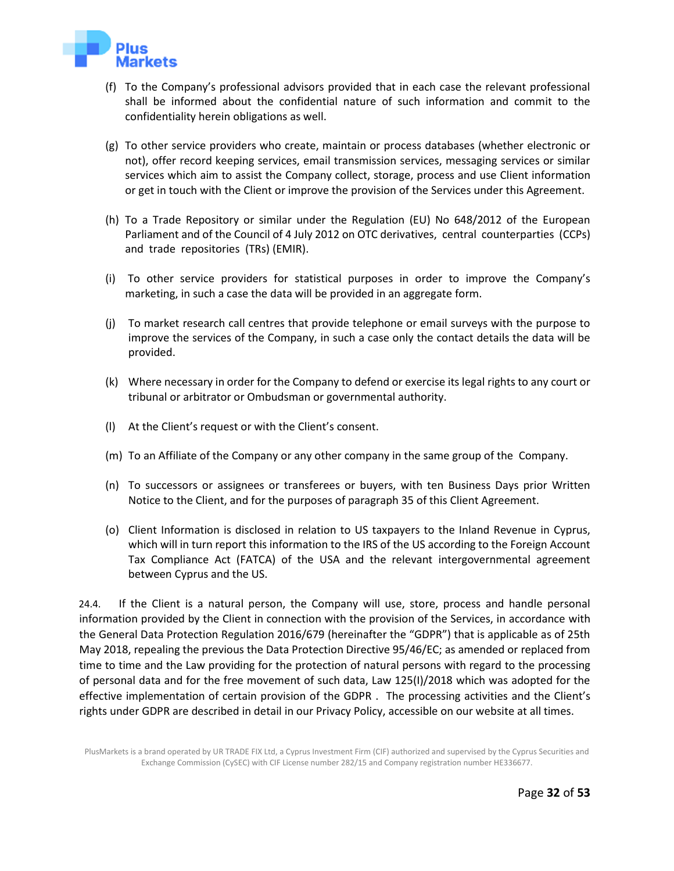

- (f) To the Company's professional advisors provided that in each case the relevant professional shall be informed about the confidential nature of such information and commit to the confidentiality herein obligations as well.
- (g) To other service providers who create, maintain or process databases (whether electronic or not), offer record keeping services, email transmission services, messaging services or similar services which aim to assist the Company collect, storage, process and use Client information or get in touch with the Client or improve the provision of the Services under this Agreement.
- (h) To a Trade Repository or similar under the Regulation (EU) No 648/2012 of the European Parliament and of the Council of 4 July 2012 on OTC derivatives, central counterparties (CCPs) and trade repositories (TRs) (EMIR).
- (i) To other service providers for statistical purposes in order to improve the Company's marketing, in such a case the data will be provided in an aggregate form.
- (j) To market research call centres that provide telephone or email surveys with the purpose to improve the services of the Company, in such a case only the contact details the data will be provided.
- (k) Where necessary in order for the Company to defend or exercise its legal rights to any court or tribunal or arbitrator or Ombudsman or governmental authority.
- (l) At the Client's request or with the Client's consent.
- (m) To an Affiliate of the Company or any other company in the same group of the Company.
- (n) To successors or assignees or transferees or buyers, with ten Business Days prior Written Notice to the Client, and for the purposes of paragraph 35 of this Client Agreement.
- (o) Client Information is disclosed in relation to US taxpayers to the Inland Revenue in Cyprus, which will in turn report this information to the IRS of the US according to the Foreign Account Tax Compliance Act (FATCA) of the USA and the relevant intergovernmental agreement between Cyprus and the US.

24.4. If the Client is a natural person, the Company will use, store, process and handle personal information provided by the Client in connection with the provision of the Services, in accordance with the General Data Protection Regulation 2016/679 (hereinafter the "GDPR") that is applicable as of 25th May 2018, repealing the previous the Data Protection Directive 95/46/EC; as amended or replaced from time to time and the Law providing for the protection of natural persons with regard to the processing of personal data and for the free movement of such data, Law 125(I)/2018 which was adopted for the effective implementation of certain provision of the GDPR . The processing activities and the Client's rights under GDPR are described in detail in our Privacy Policy, accessible on our website at all times.

PlusMarkets is a brand operated by UR TRADE FIX Ltd, a Cyprus Investment Firm (CIF) authorized and supervised by the Cyprus Securities and Exchange Commission (CySEC) with CIF License number 282/15 and Company registration number HE336677.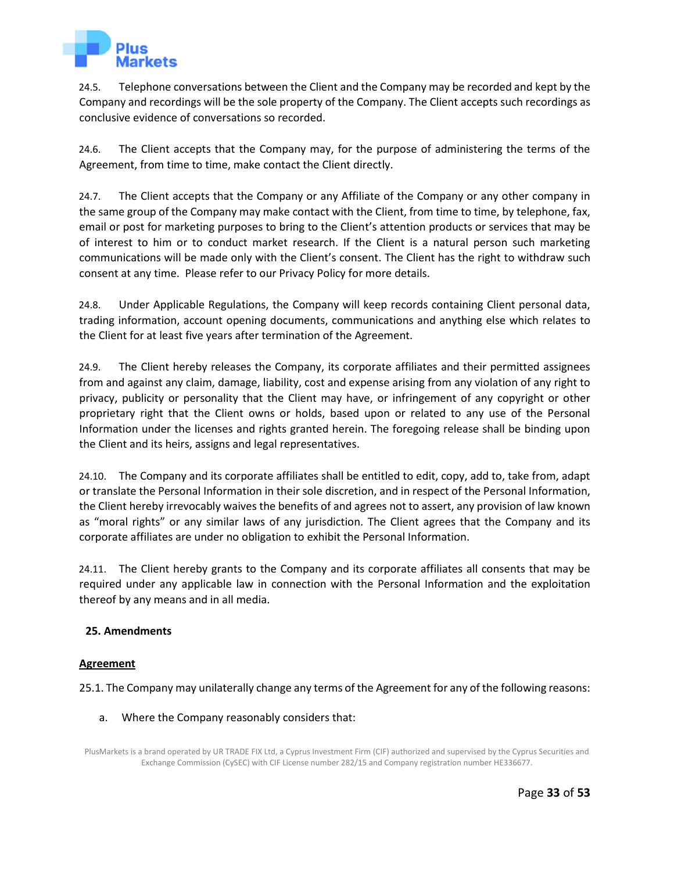

24.5. Telephone conversations between the Client and the Company may be recorded and kept by the Company and recordings will be the sole property of the Company. The Client accepts such recordings as conclusive evidence of conversations so recorded.

24.6. The Client accepts that the Company may, for the purpose of administering the terms of the Agreement, from time to time, make contact the Client directly.

24.7. The Client accepts that the Company or any Affiliate of the Company or any other company in the same group of the Company may make contact with the Client, from time to time, by telephone, fax, email or post for marketing purposes to bring to the Client's attention products or services that may be of interest to him or to conduct market research. If the Client is a natural person such marketing communications will be made only with the Client's consent. The Client has the right to withdraw such consent at any time. Please refer to our Privacy Policy for more details.

24.8. Under Applicable Regulations, the Company will keep records containing Client personal data, trading information, account opening documents, communications and anything else which relates to the Client for at least five years after termination of the Agreement.

24.9. The Client hereby releases the Company, its corporate affiliates and their permitted assignees from and against any claim, damage, liability, cost and expense arising from any violation of any right to privacy, publicity or personality that the Client may have, or infringement of any copyright or other proprietary right that the Client owns or holds, based upon or related to any use of the Personal Information under the licenses and rights granted herein. The foregoing release shall be binding upon the Client and its heirs, assigns and legal representatives.

24.10. The Company and its corporate affiliates shall be entitled to edit, copy, add to, take from, adapt or translate the Personal Information in their sole discretion, and in respect of the Personal Information, the Client hereby irrevocably waives the benefits of and agrees not to assert, any provision of law known as "moral rights" or any similar laws of any jurisdiction. The Client agrees that the Company and its corporate affiliates are under no obligation to exhibit the Personal Information.

24.11. The Client hereby grants to the Company and its corporate affiliates all consents that may be required under any applicable law in connection with the Personal Information and the exploitation thereof by any means and in all media.

## **25. Amendments**

## **Agreement**

<span id="page-32-0"></span>25.1. The Company may unilaterally change any terms of the Agreement for any of the following reasons:

#### a. Where the Company reasonably considers that:

PlusMarkets is a brand operated by UR TRADE FIX Ltd, a Cyprus Investment Firm (CIF) authorized and supervised by the Cyprus Securities and Exchange Commission (CySEC) with CIF License number 282/15 and Company registration number HE336677.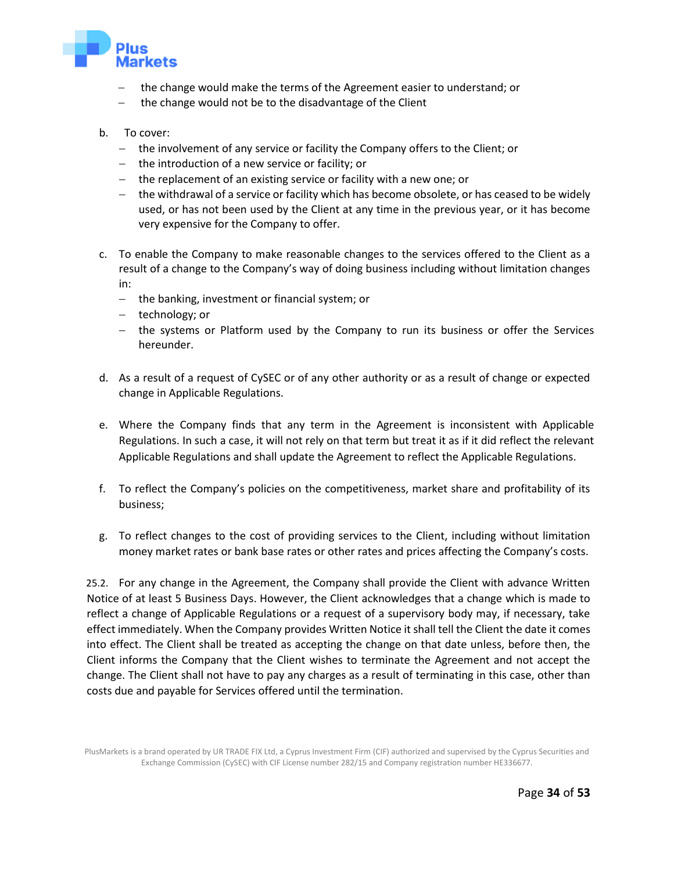

- the change would make the terms of the Agreement easier to understand; or
- the change would not be to the disadvantage of the Client
- b. To cover:
	- − the involvement of any service or facility the Company offers to the Client; or
	- − the introduction of a new service or facility; or
	- − the replacement of an existing service or facility with a new one; or
	- − the withdrawal of a service or facility which has become obsolete, or has ceased to be widely used, or has not been used by the Client at any time in the previous year, or it has become very expensive for the Company to offer.
- c. To enable the Company to make reasonable changes to the services offered to the Client as a result of a change to the Company's way of doing business including without limitation changes in:
	- − the banking, investment or financial system; or
	- − technology; or
	- − the systems or Platform used by the Company to run its business or offer the Services hereunder.
- d. As a result of a request of CySEC or of any other authority or as a result of change or expected change in Applicable Regulations.
- e. Where the Company finds that any term in the Agreement is inconsistent with Applicable Regulations. In such a case, it will not rely on that term but treat it as if it did reflect the relevant Applicable Regulations and shall update the Agreement to reflect the Applicable Regulations.
- f. To reflect the Company's policies on the competitiveness, market share and profitability of its business;
- g. To reflect changes to the cost of providing services to the Client, including without limitation money market rates or bank base rates or other rates and prices affecting the Company's costs.

25.2. For any change in the Agreement, the Company shall provide the Client with advance Written Notice of at least 5 Business Days. However, the Client acknowledges that a change which is made to reflect a change of Applicable Regulations or a request of a supervisory body may, if necessary, take effect immediately. When the Company provides Written Notice it shall tell the Client the date it comes into effect. The Client shall be treated as accepting the change on that date unless, before then, the Client informs the Company that the Client wishes to terminate the Agreement and not accept the change. The Client shall not have to pay any charges as a result of terminating in this case, other than costs due and payable for Services offered until the termination.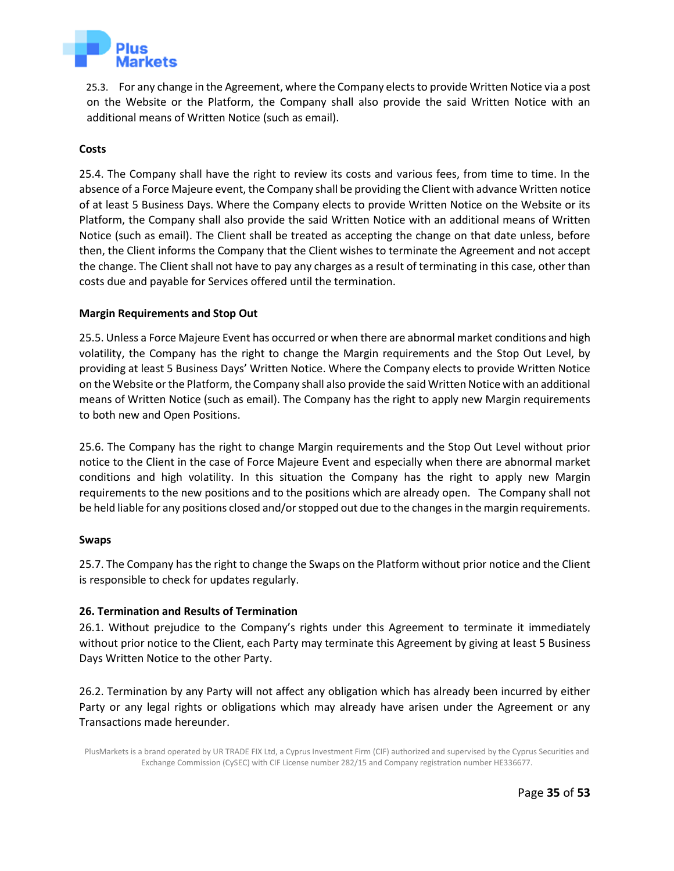

25.3. For any change in the Agreement, where the Company elects to provide Written Notice via a post on the Website or the Platform, the Company shall also provide the said Written Notice with an additional means of Written Notice (such as email).

## **Costs**

25.4. The Company shall have the right to review its costs and various fees, from time to time. In the absence of a Force Majeure event, the Company shall be providing the Client with advance Written notice of at least 5 Business Days. Where the Company elects to provide Written Notice on the Website or its Platform, the Company shall also provide the said Written Notice with an additional means of Written Notice (such as email). The Client shall be treated as accepting the change on that date unless, before then, the Client informs the Company that the Client wishes to terminate the Agreement and not accept the change. The Client shall not have to pay any charges as a result of terminating in this case, other than costs due and payable for Services offered until the termination.

#### **Margin Requirements and Stop Out**

25.5. Unless a Force Majeure Event has occurred or when there are abnormal market conditions and high volatility, the Company has the right to change the Margin requirements and the Stop Out Level, by providing at least 5 Business Days' Written Notice. Where the Company elects to provide Written Notice on the Website or the Platform, the Company shall also provide the said Written Notice with an additional means of Written Notice (such as email). The Company has the right to apply new Margin requirements to both new and Open Positions.

25.6. The Company has the right to change Margin requirements and the Stop Out Level without prior notice to the Client in the case of Force Majeure Event and especially when there are abnormal market conditions and high volatility. In this situation the Company has the right to apply new Margin requirements to the new positions and to the positions which are already open. The Company shall not be held liable for any positions closed and/or stopped out due to the changes in the margin requirements.

#### **Swaps**

25.7. The Company has the right to change the Swaps on the Platform without prior notice and the Client is responsible to check for updates regularly.

## **26. Termination and Results of Termination**

26.1. Without prejudice to the Company's rights under this Agreement to terminate it immediately without prior notice to the Client, each Party may terminate this Agreement by giving at least 5 Business Days Written Notice to the other Party.

<span id="page-34-0"></span>26.2. Termination by any Party will not affect any obligation which has already been incurred by either Party or any legal rights or obligations which may already have arisen under the Agreement or any Transactions made hereunder.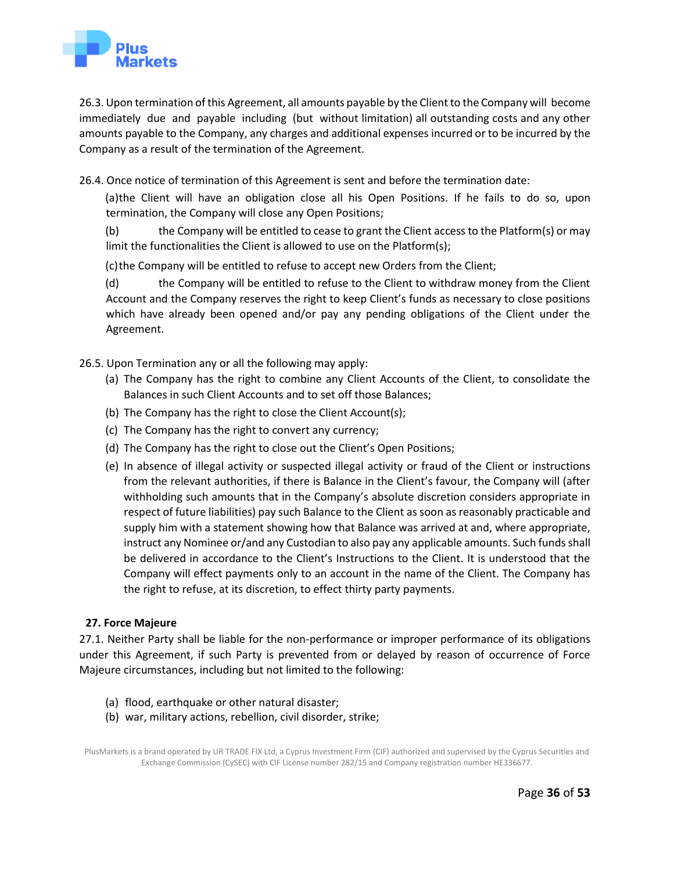

26.3. Upon termination of this Agreement, all amounts payable by the Client to the Company will become immediately due and payable including (but without limitation) all outstanding costs and any other amounts payable to the Company, any charges and additional expenses incurred or to be incurred by the Company as a result of the termination of the Agreement.

26.4. Once notice of termination of this Agreement is sent and before the termination date:

(a)the Client will have an obligation close all his Open Positions. If he fails to do so, upon termination, the Company will close any Open Positions;

(b) the Company will be entitled to cease to grant the Client access to the Platform(s) or may limit the functionalities the Client is allowed to use on the Platform(s);

(c)the Company will be entitled to refuse to accept new Orders from the Client;

(d) the Company will be entitled to refuse to the Client to withdraw money from the Client Account and the Company reserves the right to keep Client's funds as necessary to close positions which have already been opened and/or pay any pending obligations of the Client under the Agreement.

26.5. Upon Termination any or all the following may apply:

- (a) The Company has the right to combine any Client Accounts of the Client, to consolidate the Balances in such Client Accounts and to set off those Balances;
- (b) The Company has the right to close the Client Account(s);
- (c) The Company has the right to convert any currency;
- (d) The Company has the right to close out the Client's Open Positions;
- (e) In absence of illegal activity or suspected illegal activity or fraud of the Client or instructions from the relevant authorities, if there is Balance in the Client's favour, the Company will (after withholding such amounts that in the Company's absolute discretion considers appropriate in respect of future liabilities) pay such Balance to the Client as soon as reasonably practicable and supply him with a statement showing how that Balance was arrived at and, where appropriate, instruct any Nominee or/and any Custodian to also pay any applicable amounts. Such funds shall be delivered in accordance to the Client's Instructions to the Client. It is understood that the Company will effect payments only to an account in the name of the Client. The Company has the right to refuse, at its discretion, to effect thirty party payments.

## **27. Force Majeure**

<span id="page-35-0"></span>27.1. Neither Party shall be liable for the non-performance or improper performance of its obligations under this Agreement, if such Party is prevented from or delayed by reason of occurrence of Force Majeure circumstances, including but not limited to the following:

- (a) flood, earthquake or other natural disaster;
- (b) war, military actions, rebellion, civil disorder, strike;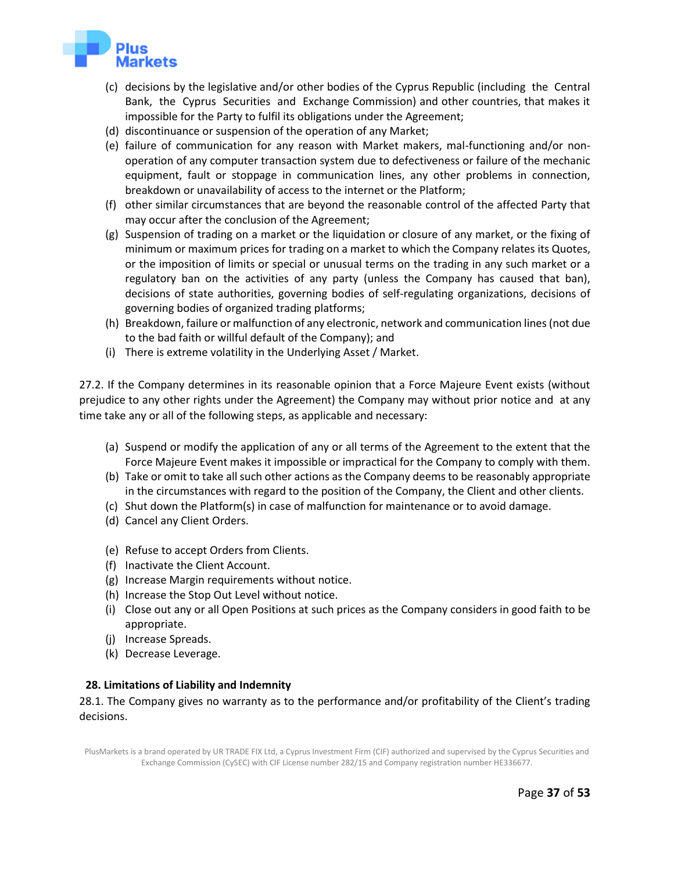

- (c) decisions by the legislative and/or other bodies of the Cyprus Republic (including the Central Bank, the Cyprus Securities and Exchange Commission) and other countries, that makes it impossible for the Party to fulfil its obligations under the Agreement;
- (d) discontinuance or suspension of the operation of any Market;
- (e) failure of communication for any reason with Market makers, mal-functioning and/or nonoperation of any computer transaction system due to defectiveness or failure of the mechanic equipment, fault or stoppage in communication lines, any other problems in connection, breakdown or unavailability of access to the internet or the Platform;
- (f) other similar circumstances that are beyond the reasonable control of the affected Party that may occur after the conclusion of the Agreement;
- (g) Suspension of trading on a market or the liquidation or closure of any market, or the fixing of minimum or maximum prices for trading on a market to which the Company relates its Quotes, or the imposition of limits or special or unusual terms on the trading in any such market or a regulatory ban on the activities of any party (unless the Company has caused that ban), decisions of state authorities, governing bodies of self-regulating organizations, decisions of governing bodies of organized trading platforms;
- (h) Breakdown, failure or malfunction of any electronic, network and communication lines (not due to the bad faith or willful default of the Company); and
- (i) There is extreme volatility in the Underlying Asset / Market.

27.2. If the Company determines in its reasonable opinion that a Force Majeure Event exists (without prejudice to any other rights under the Agreement) the Company may without prior notice and at any time take any or all of the following steps, as applicable and necessary:

- (a) Suspend or modify the application of any or all terms of the Agreement to the extent that the Force Majeure Event makes it impossible or impractical for the Company to comply with them.
- (b) Take or omit to take all such other actions as the Company deems to be reasonably appropriate in the circumstances with regard to the position of the Company, the Client and other clients.
- (c) Shut down the Platform(s) in case of malfunction for maintenance or to avoid damage.
- (d) Cancel any Client Orders.
- (e) Refuse to accept Orders from Clients.
- (f) Inactivate the Client Account.
- (g) Increase Margin requirements without notice.
- (h) Increase the Stop Out Level without notice.
- (i) Close out any or all Open Positions at such prices as the Company considers in good faith to be appropriate.
- (j) Increase Spreads.
- (k) Decrease Leverage.

## **28. Limitations of Liability and Indemnity**

28.1. The Company gives no warranty as to the performance and/or profitability of the Client's trading decisions.

<span id="page-36-0"></span>PlusMarkets is a brand operated by UR TRADE FIX Ltd, a Cyprus Investment Firm (CIF) authorized and supervised by the Cyprus Securities and Exchange Commission (CySEC) with CIF License number 282/15 and Company registration number HE336677.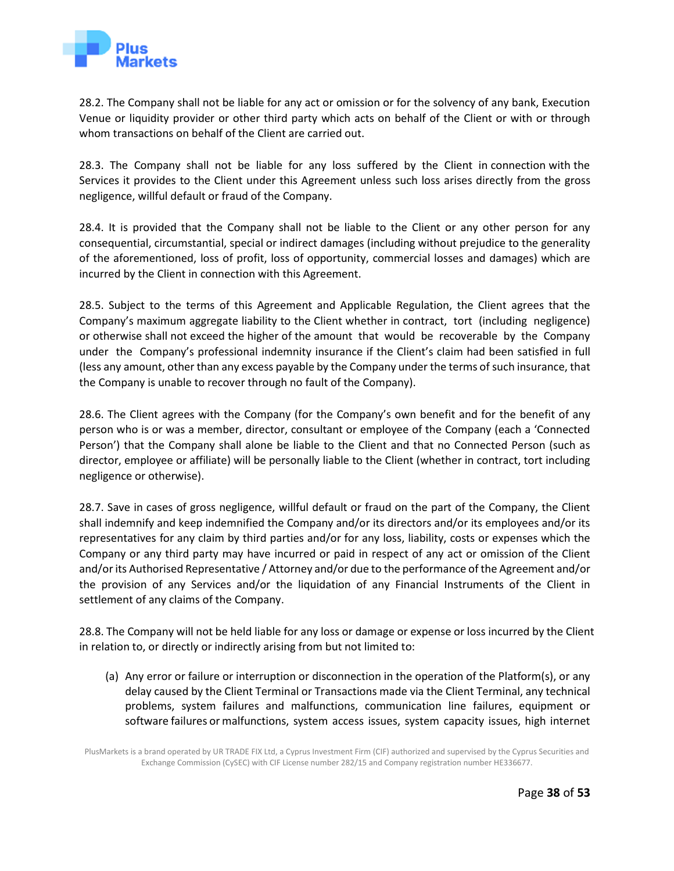

28.2. The Company shall not be liable for any act or omission or for the solvency of any bank, Execution Venue or liquidity provider or other third party which acts on behalf of the Client or with or through whom transactions on behalf of the Client are carried out.

28.3. The Company shall not be liable for any loss suffered by the Client in connection with the Services it provides to the Client under this Agreement unless such loss arises directly from the gross negligence, willful default or fraud of the Company.

28.4. It is provided that the Company shall not be liable to the Client or any other person for any consequential, circumstantial, special or indirect damages (including without prejudice to the generality of the aforementioned, loss of profit, loss of opportunity, commercial losses and damages) which are incurred by the Client in connection with this Agreement.

28.5. Subject to the terms of this Agreement and Applicable Regulation, the Client agrees that the Company's maximum aggregate liability to the Client whether in contract, tort (including negligence) or otherwise shall not exceed the higher of the amount that would be recoverable by the Company under the Company's professional indemnity insurance if the Client's claim had been satisfied in full (less any amount, other than any excess payable by the Company under the terms of such insurance, that the Company is unable to recover through no fault of the Company).

28.6. The Client agrees with the Company (for the Company's own benefit and for the benefit of any person who is or was a member, director, consultant or employee of the Company (each a 'Connected Person') that the Company shall alone be liable to the Client and that no Connected Person (such as director, employee or affiliate) will be personally liable to the Client (whether in contract, tort including negligence or otherwise).

28.7. Save in cases of gross negligence, willful default or fraud on the part of the Company, the Client shall indemnify and keep indemnified the Company and/or its directors and/or its employees and/or its representatives for any claim by third parties and/or for any loss, liability, costs or expenses which the Company or any third party may have incurred or paid in respect of any act or omission of the Client and/or its Authorised Representative / Attorney and/or due to the performance of the Agreement and/or the provision of any Services and/or the liquidation of any Financial Instruments of the Client in settlement of any claims of the Company.

28.8. The Company will not be held liable for any loss or damage or expense or loss incurred by the Client in relation to, or directly or indirectly arising from but not limited to:

(a) Any error or failure or interruption or disconnection in the operation of the Platform(s), or any delay caused by the Client Terminal or Transactions made via the Client Terminal, any technical problems, system failures and malfunctions, communication line failures, equipment or software failures or malfunctions, system access issues, system capacity issues, high internet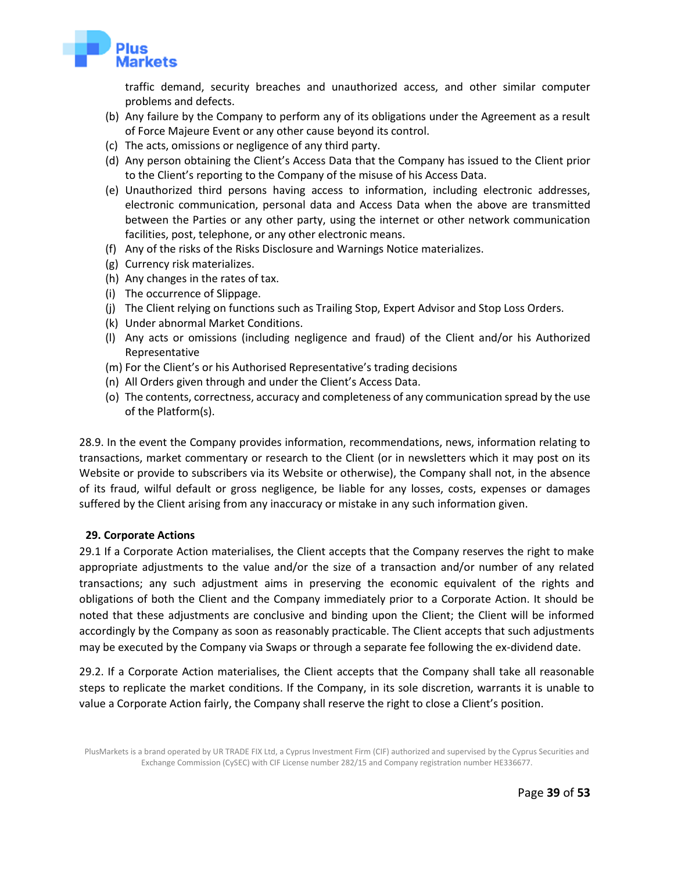

traffic demand, security breaches and unauthorized access, and other similar computer problems and defects.

- (b) Any failure by the Company to perform any of its obligations under the Agreement as a result of Force Majeure Event or any other cause beyond its control.
- (c) The acts, omissions or negligence of any third party.
- (d) Any person obtaining the Client's Access Data that the Company has issued to the Client prior to the Client's reporting to the Company of the misuse of his Access Data.
- (e) Unauthorized third persons having access to information, including electronic addresses, electronic communication, personal data and Access Data when the above are transmitted between the Parties or any other party, using the internet or other network communication facilities, post, telephone, or any other electronic means.
- (f) Any of the risks of the Risks Disclosure and Warnings Notice materializes.
- (g) Currency risk materializes.
- (h) Any changes in the rates of tax.
- (i) The occurrence of Slippage.
- (j) The Client relying on functions such as Trailing Stop, Expert Advisor and Stop Loss Orders.
- (k) Under abnormal Market Conditions.
- (l) Any acts or omissions (including negligence and fraud) of the Client and/or his Authorized Representative
- (m) For the Client's or his Authorised Representative's trading decisions
- (n) All Orders given through and under the Client's Access Data.
- (o) The contents, correctness, accuracy and completeness of any communication spread by the use of the Platform(s).

28.9. In the event the Company provides information, recommendations, news, information relating to transactions, market commentary or research to the Client (or in newsletters which it may post on its Website or provide to subscribers via its Website or otherwise), the Company shall not, in the absence of its fraud, wilful default or gross negligence, be liable for any losses, costs, expenses or damages suffered by the Client arising from any inaccuracy or mistake in any such information given.

## **29. Corporate Actions**

<span id="page-38-0"></span>29.1 If a Corporate Action materialises, the Client accepts that the Company reserves the right to make appropriate adjustments to the value and/or the size of a transaction and/or number of any related transactions; any such adjustment aims in preserving the economic equivalent of the rights and obligations of both the Client and the Company immediately prior to a Corporate Action. It should be noted that these adjustments are conclusive and binding upon the Client; the Client will be informed accordingly by the Company as soon as reasonably practicable. The Client accepts that such adjustments may be executed by the Company via Swaps or through a separate fee following the ex-dividend date.

29.2. If a Corporate Action materialises, the Client accepts that the Company shall take all reasonable steps to replicate the market conditions. If the Company, in its sole discretion, warrants it is unable to value a Corporate Action fairly, the Company shall reserve the right to close a Client's position.

PlusMarkets is a brand operated by UR TRADE FIX Ltd, a Cyprus Investment Firm (CIF) authorized and supervised by the Cyprus Securities and Exchange Commission (CySEC) with CIF License number 282/15 and Company registration number HE336677.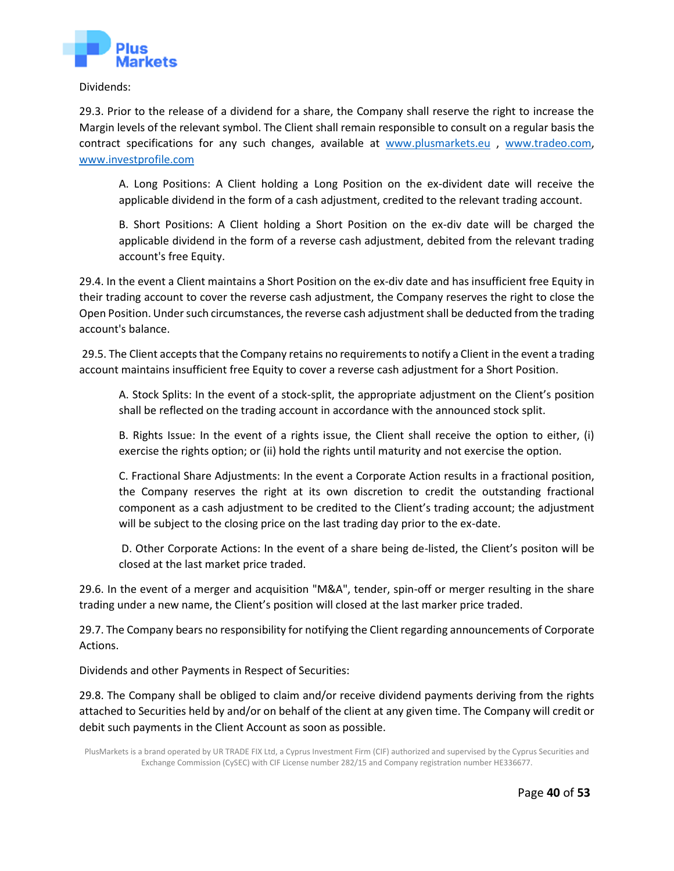

Dividends:

29.3. Prior to the release of a dividend for a share, the Company shall reserve the right to increase the Margin levels of the relevant symbol. The Client shall remain responsible to consult on a regular basis the contract specifications for any such changes, available at [www.plusmarkets.eu](http://www.plusmarkets.eu/) , [www.tradeo.com,](http://www.tradeo.com/) [www.investprofile.com](http://www.investprofile.com/)

A. Long Positions: A Client holding a Long Position on the ex-divident date will receive the applicable dividend in the form of a cash adjustment, credited to the relevant trading account.

B. Short Positions: A Client holding a Short Position on the ex-div date will be charged the applicable dividend in the form of a reverse cash adjustment, debited from the relevant trading account's free Equity.

29.4. In the event a Client maintains a Short Position on the ex-div date and has insufficient free Equity in their trading account to cover the reverse cash adjustment, the Company reserves the right to close the Open Position. Under such circumstances, the reverse cash adjustment shall be deducted from the trading account's balance.

29.5. The Client accepts that the Company retains no requirementsto notify a Client in the event a trading account maintains insufficient free Equity to cover a reverse cash adjustment for a Short Position.

A. Stock Splits: In the event of a stock-split, the appropriate adjustment on the Client's position shall be reflected on the trading account in accordance with the announced stock split.

B. Rights Issue: In the event of a rights issue, the Client shall receive the option to either, (i) exercise the rights option; or (ii) hold the rights until maturity and not exercise the option.

C. Fractional Share Adjustments: In the event a Corporate Action results in a fractional position, the Company reserves the right at its own discretion to credit the outstanding fractional component as a cash adjustment to be credited to the Client's trading account; the adjustment will be subject to the closing price on the last trading day prior to the ex-date.

D. Other Corporate Actions: In the event of a share being de-listed, the Client's positon will be closed at the last market price traded.

29.6. In the event of a merger and acquisition "M&A", tender, spin-off or merger resulting in the share trading under a new name, the Client's position will closed at the last marker price traded.

29.7. The Company bears no responsibility for notifying the Client regarding announcements of Corporate Actions.

Dividends and other Payments in Respect of Securities:

29.8. The Company shall be obliged to claim and/or receive dividend payments deriving from the rights attached to Securities held by and/or on behalf of the client at any given time. The Company will credit or debit such payments in the Client Account as soon as possible.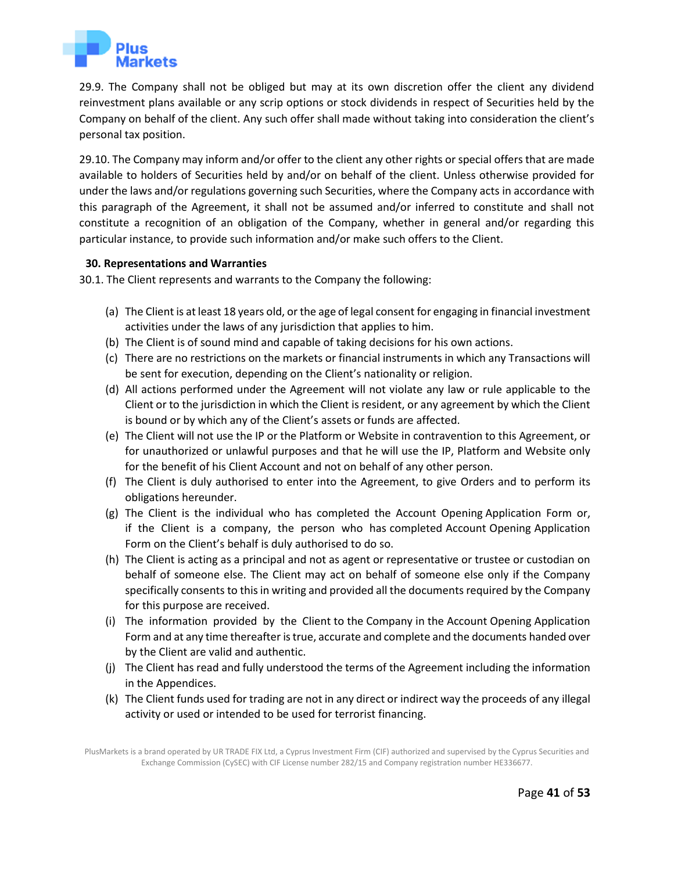

29.9. The Company shall not be obliged but may at its own discretion offer the client any dividend reinvestment plans available or any scrip options or stock dividends in respect of Securities held by the Company on behalf of the client. Any such offer shall made without taking into consideration the client's personal tax position.

29.10. The Company may inform and/or offer to the client any other rights or special offers that are made available to holders of Securities held by and/or on behalf of the client. Unless otherwise provided for under the laws and/or regulations governing such Securities, where the Company acts in accordance with this paragraph of the Agreement, it shall not be assumed and/or inferred to constitute and shall not constitute a recognition of an obligation of the Company, whether in general and/or regarding this particular instance, to provide such information and/or make such offers to the Client.

## **30. Representations and Warranties**

30.1. The Client represents and warrants to the Company the following:

- <span id="page-40-0"></span>(a) The Client is at least 18 years old, or the age of legal consent for engaging in financial investment activities under the laws of any jurisdiction that applies to him.
- (b) The Client is of sound mind and capable of taking decisions for his own actions.
- (c) There are no restrictions on the markets or financial instruments in which any Transactions will be sent for execution, depending on the Client's nationality or religion.
- (d) All actions performed under the Agreement will not violate any law or rule applicable to the Client or to the jurisdiction in which the Client is resident, or any agreement by which the Client is bound or by which any of the Client's assets or funds are affected.
- (e) The Client will not use the IP or the Platform or Website in contravention to this Agreement, or for unauthorized or unlawful purposes and that he will use the IP, Platform and Website only for the benefit of his Client Account and not on behalf of any other person.
- (f) The Client is duly authorised to enter into the Agreement, to give Orders and to perform its obligations hereunder.
- (g) The Client is the individual who has completed the Account Opening Application Form or, if the Client is a company, the person who has completed Account Opening Application Form on the Client's behalf is duly authorised to do so.
- (h) The Client is acting as a principal and not as agent or representative or trustee or custodian on behalf of someone else. The Client may act on behalf of someone else only if the Company specifically consents to this in writing and provided all the documents required by the Company for this purpose are received.
- (i) The information provided by the Client to the Company in the Account Opening Application Form and at any time thereafter is true, accurate and complete and the documents handed over by the Client are valid and authentic.
- (j) The Client has read and fully understood the terms of the Agreement including the information in the Appendices.
- (k) The Client funds used for trading are not in any direct or indirect way the proceeds of any illegal activity or used or intended to be used for terrorist financing.

PlusMarkets is a brand operated by UR TRADE FIX Ltd, a Cyprus Investment Firm (CIF) authorized and supervised by the Cyprus Securities and Exchange Commission (CySEC) with CIF License number 282/15 and Company registration number HE336677.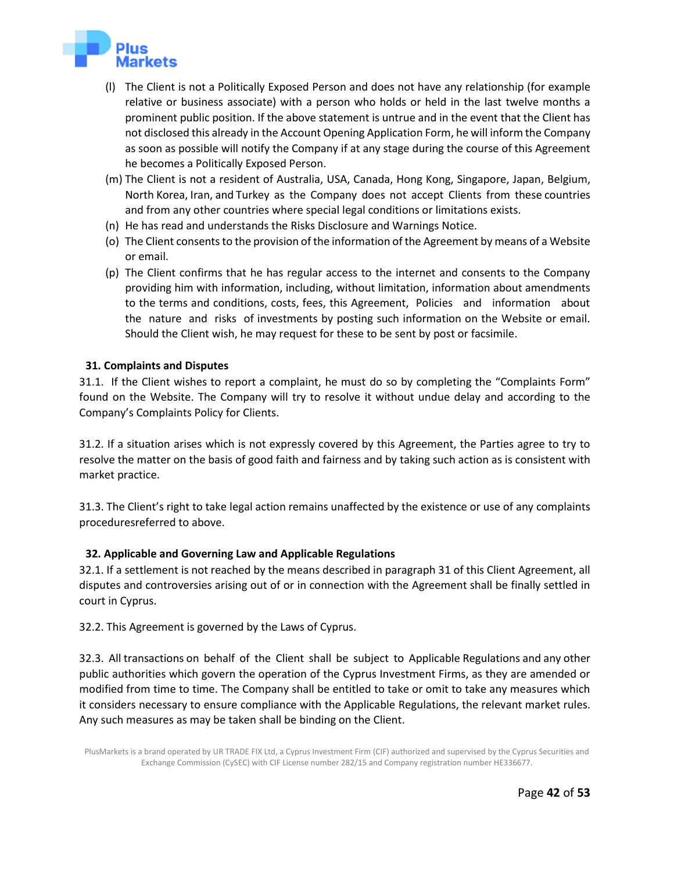

- (l) The Client is not a Politically Exposed Person and does not have any relationship (for example relative or business associate) with a person who holds or held in the last twelve months a prominent public position. If the above statement is untrue and in the event that the Client has not disclosed this already in the Account Opening Application Form, he will inform the Company as soon as possible will notify the Company if at any stage during the course of this Agreement he becomes a Politically Exposed Person.
- (m) The Client is not a resident of Australia, USA, Canada, Hong Kong, Singapore, Japan, Belgium, North Korea, Iran, and Turkey as the Company does not accept Clients from these countries and from any other countries where special legal conditions or limitations exists.
- (n) He has read and understands the Risks Disclosure and Warnings Notice.
- (o) The Client consents to the provision of the information of the Agreement by means of a Website or email.
- (p) The Client confirms that he has regular access to the internet and consents to the Company providing him with information, including, without limitation, information about amendments to the terms and conditions, costs, fees, this Agreement, Policies and information about the nature and risks of investments by posting such information on the Website or email. Should the Client wish, he may request for these to be sent by post or facsimile.

# **31. Complaints and Disputes**

31.1. If the Client wishes to report a complaint, he must do so by completing the "Complaints Form" found on the Website. The Company will try to resolve it without undue delay and according to the Company's Complaints Policy for Clients.

<span id="page-41-0"></span>31.2. If a situation arises which is not expressly covered by this Agreement, the Parties agree to try to resolve the matter on the basis of good faith and fairness and by taking such action as is consistent with market practice.

31.3. The Client's right to take legal action remains unaffected by the existence or use of any complaints proceduresreferred to above.

# **32. Applicable and Governing Law and Applicable Regulations**

32.1. If a settlement is not reached by the means described in paragraph 31 of this Client Agreement, all disputes and controversies arising out of or in connection with the Agreement shall be finally settled in court in Cyprus.

<span id="page-41-1"></span>32.2. This Agreement is governed by the Laws of Cyprus.

32.3. All transactions on behalf of the Client shall be subject to Applicable Regulations and any other public authorities which govern the operation of the Cyprus Investment Firms, as they are amended or modified from time to time. The Company shall be entitled to take or omit to take any measures which it considers necessary to ensure compliance with the Applicable Regulations, the relevant market rules. Any such measures as may be taken shall be binding on the Client.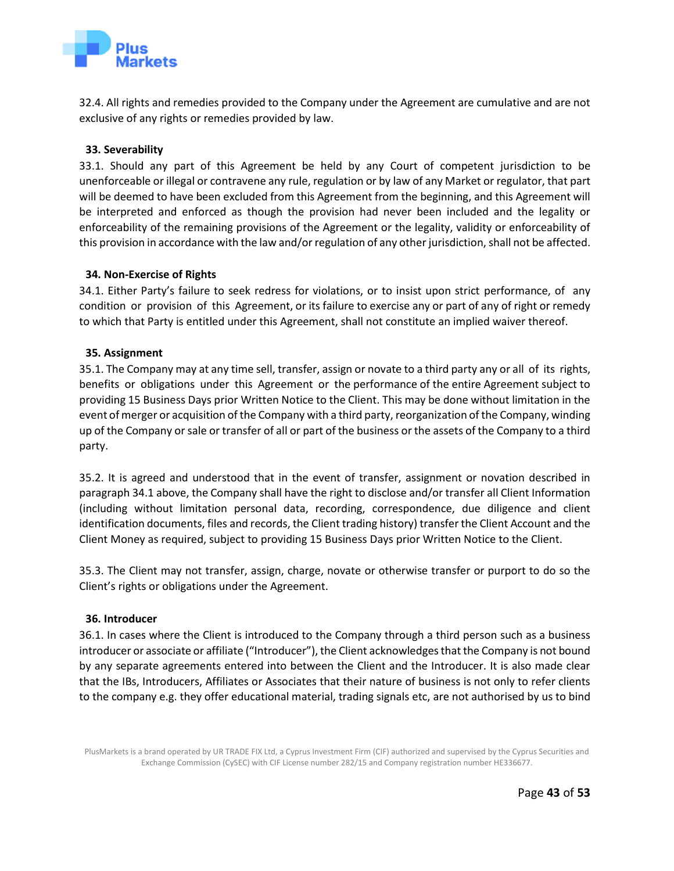

32.4. All rights and remedies provided to the Company under the Agreement are cumulative and are not exclusive of any rights or remedies provided by law.

## **33. Severability**

<span id="page-42-0"></span>33.1. Should any part of this Agreement be held by any Court of competent jurisdiction to be unenforceable or illegal or contravene any rule, regulation or by law of any Market or regulator, that part will be deemed to have been excluded from this Agreement from the beginning, and this Agreement will be interpreted and enforced as though the provision had never been included and the legality or enforceability of the remaining provisions of the Agreement or the legality, validity or enforceability of this provision in accordance with the law and/or regulation of any other jurisdiction, shall not be affected.

## **34. Non-Exercise of Rights**

34.1. Either Party's failure to seek redress for violations, or to insist upon strict performance, of any condition or provision of this Agreement, or its failure to exercise any or part of any of right or remedy to which that Party is entitled under this Agreement, shall not constitute an implied waiver thereof.

## <span id="page-42-1"></span>**35. Assignment**

<span id="page-42-2"></span>35.1. The Company may at any time sell, transfer, assign or novate to a third party any or all of its rights, benefits or obligations under this Agreement or the performance of the entire Agreement subject to providing 15 Business Days prior Written Notice to the Client. This may be done without limitation in the event of merger or acquisition of the Company with a third party, reorganization of the Company, winding up of the Company or sale or transfer of all or part of the business or the assets of the Company to a third party.

35.2. It is agreed and understood that in the event of transfer, assignment or novation described in paragraph 34.1 above, the Company shall have the right to disclose and/or transfer all Client Information (including without limitation personal data, recording, correspondence, due diligence and client identification documents, files and records, the Client trading history) transfer the Client Account and the Client Money as required, subject to providing 15 Business Days prior Written Notice to the Client.

35.3. The Client may not transfer, assign, charge, novate or otherwise transfer or purport to do so the Client's rights or obligations under the Agreement.

## **36. Introducer**

<span id="page-42-3"></span>36.1. In cases where the Client is introduced to the Company through a third person such as a business introducer or associate or affiliate ("Introducer"), the Client acknowledges that the Company is not bound by any separate agreements entered into between the Client and the Introducer. It is also made clear that the IBs, Introducers, Affiliates or Associates that their nature of business is not only to refer clients to the company e.g. they offer educational material, trading signals etc, are not authorised by us to bind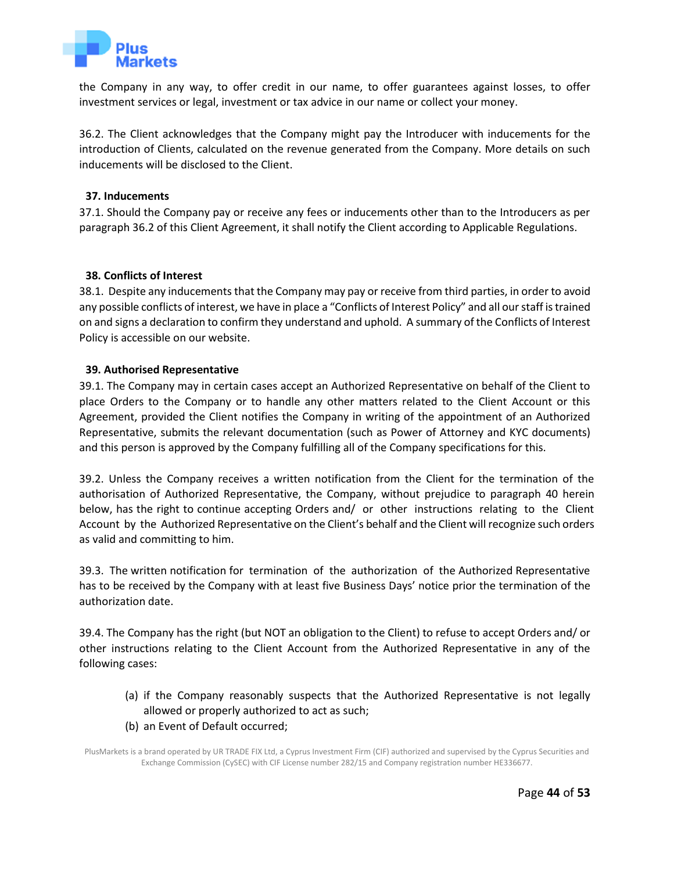

the Company in any way, to offer credit in our name, to offer guarantees against losses, to offer investment services or legal, investment or tax advice in our name or collect your money.

36.2. The Client acknowledges that the Company might pay the Introducer with inducements for the introduction of Clients, calculated on the revenue generated from the Company. More details on such inducements will be disclosed to the Client.

#### **37. Inducements**

37.1. Should the Company pay or receive any fees or inducements other than to the Introducers as per paragraph 36.2 of this Client Agreement, it shall notify the Client according to Applicable Regulations.

#### <span id="page-43-0"></span>**38. Conflicts of Interest**

<span id="page-43-1"></span>38.1. Despite any inducements that the Company may pay or receive from third parties, in order to avoid any possible conflicts of interest, we have in place a "Conflicts of Interest Policy" and all our staff is trained on and signs a declaration to confirm they understand and uphold. A summary of the Conflicts of Interest Policy is accessible on our website.

#### **39. Authorised Representative**

<span id="page-43-2"></span>39.1. The Company may in certain cases accept an Authorized Representative on behalf of the Client to place Orders to the Company or to handle any other matters related to the Client Account or this Agreement, provided the Client notifies the Company in writing of the appointment of an Authorized Representative, submits the relevant documentation (such as Power of Attorney and KYC documents) and this person is approved by the Company fulfilling all of the Company specifications for this.

39.2. Unless the Company receives a written notification from the Client for the termination of the authorisation of Authorized Representative, the Company, without prejudice to paragraph 40 herein below, has the right to continue accepting Orders and/ or other instructions relating to the Client Account by the Authorized Representative on the Client's behalf and the Client will recognize such orders as valid and committing to him.

39.3. The written notification for termination of the authorization of the Authorized Representative has to be received by the Company with at least five Business Days' notice prior the termination of the authorization date.

39.4. The Company has the right (but NOT an obligation to the Client) to refuse to accept Orders and/ or other instructions relating to the Client Account from the Authorized Representative in any of the following cases:

- (a) if the Company reasonably suspects that the Authorized Representative is not legally allowed or properly authorized to act as such;
- (b) an Event of Default occurred;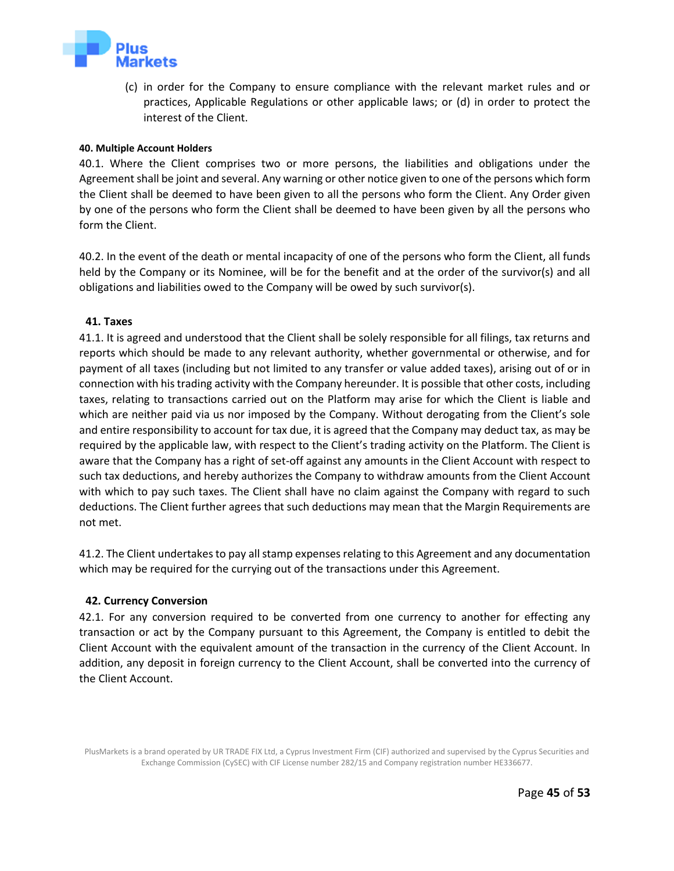

(c) in order for the Company to ensure compliance with the relevant market rules and or practices, Applicable Regulations or other applicable laws; or (d) in order to protect the interest of the Client.

#### **40. Multiple Account Holders**

<span id="page-44-0"></span>40.1. Where the Client comprises two or more persons, the liabilities and obligations under the Agreement shall be joint and several. Any warning or other notice given to one of the persons which form the Client shall be deemed to have been given to all the persons who form the Client. Any Order given by one of the persons who form the Client shall be deemed to have been given by all the persons who form the Client.

40.2. In the event of the death or mental incapacity of one of the persons who form the Client, all funds held by the Company or its Nominee, will be for the benefit and at the order of the survivor(s) and all obligations and liabilities owed to the Company will be owed by such survivor(s).

#### **41. Taxes**

<span id="page-44-1"></span>41.1. It is agreed and understood that the Client shall be solely responsible for all filings, tax returns and reports which should be made to any relevant authority, whether governmental or otherwise, and for payment of all taxes (including but not limited to any transfer or value added taxes), arising out of or in connection with his trading activity with the Company hereunder. It is possible that other costs, including taxes, relating to transactions carried out on the Platform may arise for which the Client is liable and which are neither paid via us nor imposed by the Company. Without derogating from the Client's sole and entire responsibility to account for tax due, it is agreed that the Company may deduct tax, as may be required by the applicable law, with respect to the Client's trading activity on the Platform. The Client is aware that the Company has a right of set-off against any amounts in the Client Account with respect to such tax deductions, and hereby authorizes the Company to withdraw amounts from the Client Account with which to pay such taxes. The Client shall have no claim against the Company with regard to such deductions. The Client further agrees that such deductions may mean that the Margin Requirements are not met.

41.2. The Client undertakes to pay all stamp expenses relating to this Agreement and any documentation which may be required for the currying out of the transactions under this Agreement.

#### **42. Currency Conversion**

<span id="page-44-2"></span>42.1. For any conversion required to be converted from one currency to another for effecting any transaction or act by the Company pursuant to this Agreement, the Company is entitled to debit the Client Account with the equivalent amount of the transaction in the currency of the Client Account. In addition, any deposit in foreign currency to the Client Account, shall be converted into the currency of the Client Account.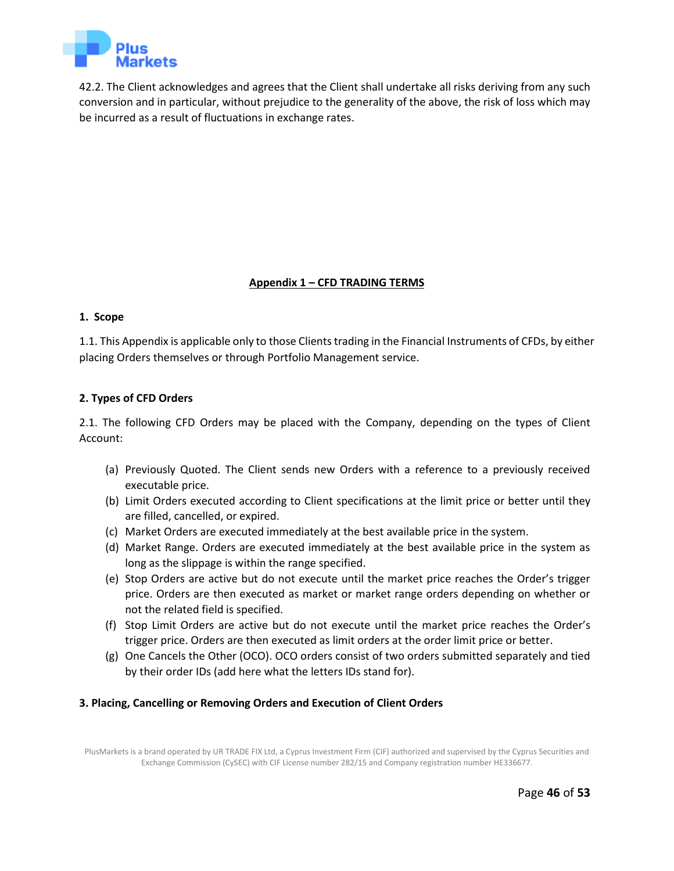

42.2. The Client acknowledges and agrees that the Client shall undertake all risks deriving from any such conversion and in particular, without prejudice to the generality of the above, the risk of loss which may be incurred as a result of fluctuations in exchange rates.

# **Appendix 1 – CFD TRADING TERMS**

#### **1. Scope**

<span id="page-45-0"></span>1.1. This Appendix is applicable only to those Clients trading in the Financial Instruments of CFDs, by either placing Orders themselves or through Portfolio Management service.

#### **2. Types of CFD Orders**

2.1. The following CFD Orders may be placed with the Company, depending on the types of Client Account:

- (a) Previously Quoted. The Client sends new Orders with a reference to a previously received executable price.
- (b) Limit Orders executed according to Client specifications at the limit price or better until they are filled, cancelled, or expired.
- (c) Market Orders are executed immediately at the best available price in the system.
- (d) Market Range. Orders are executed immediately at the best available price in the system as long as the slippage is within the range specified.
- (e) Stop Orders are active but do not execute until the market price reaches the Order's trigger price. Orders are then executed as market or market range orders depending on whether or not the related field is specified.
- (f) Stop Limit Orders are active but do not execute until the market price reaches the Order's trigger price. Orders are then executed as limit orders at the order limit price or better.
- (g) One Cancels the Other (OCO). OCO orders consist of two orders submitted separately and tied by their order IDs (add here what the letters IDs stand for).

## **3. Placing, Cancelling or Removing Orders and Execution of Client Orders**

PlusMarkets is a brand operated by UR TRADE FIX Ltd, a Cyprus Investment Firm (CIF) authorized and supervised by the Cyprus Securities and Exchange Commission (CySEC) with CIF License number 282/15 and Company registration number HE336677.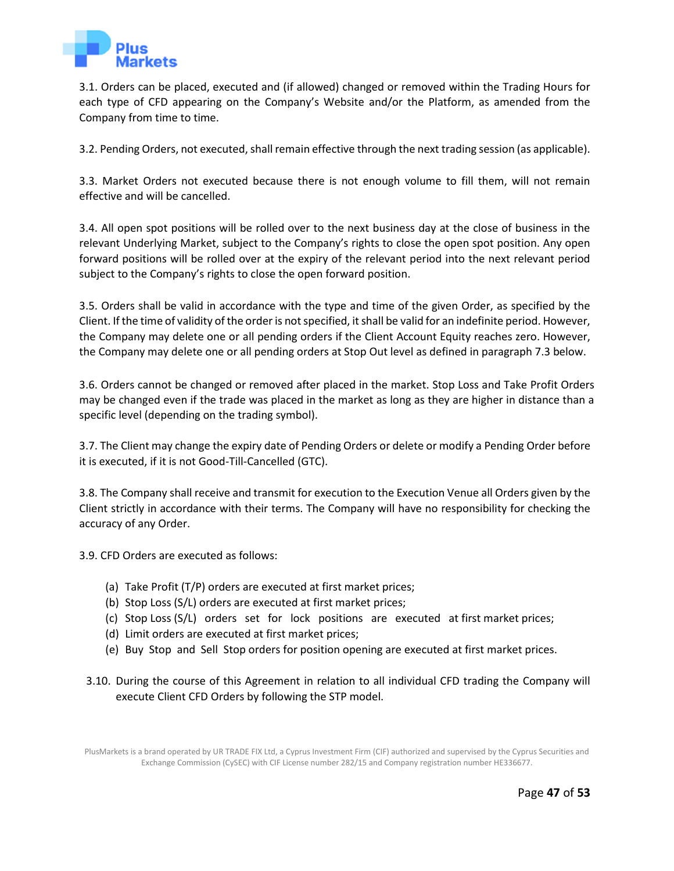

3.1. Orders can be placed, executed and (if allowed) changed or removed within the Trading Hours for each type of CFD appearing on the Company's Website and/or the Platform, as amended from the Company from time to time.

3.2. Pending Orders, not executed, shall remain effective through the next trading session (as applicable).

3.3. Market Orders not executed because there is not enough volume to fill them, will not remain effective and will be cancelled.

3.4. All open spot positions will be rolled over to the next business day at the close of business in the relevant Underlying Market, subject to the Company's rights to close the open spot position. Any open forward positions will be rolled over at the expiry of the relevant period into the next relevant period subject to the Company's rights to close the open forward position.

3.5. Orders shall be valid in accordance with the type and time of the given Order, as specified by the Client. If the time of validity of the order is not specified, it shall be valid for an indefinite period. However, the Company may delete one or all pending orders if the Client Account Equity reaches zero. However, the Company may delete one or all pending orders at Stop Out level as defined in paragraph 7.3 below.

3.6. Orders cannot be changed or removed after placed in the market. Stop Loss and Take Profit Orders may be changed even if the trade was placed in the market as long as they are higher in distance than a specific level (depending on the trading symbol).

3.7. The Client may change the expiry date of Pending Orders or delete or modify a Pending Order before it is executed, if it is not Good-Till-Cancelled (GTC).

3.8. The Company shall receive and transmit for execution to the Execution Venue all Orders given by the Client strictly in accordance with their terms. The Company will have no responsibility for checking the accuracy of any Order.

3.9. CFD Orders are executed as follows:

- (a) Take Profit (T/P) orders are executed at first market prices;
- (b) Stop Loss (S/L) orders are executed at first market prices;
- (c) Stop Loss (S/L) orders set for lock positions are executed at first market prices;
- (d) Limit orders are executed at first market prices;
- (e) Buy Stop and Sell Stop orders for position opening are executed at first market prices.
- 3.10. During the course of this Agreement in relation to all individual CFD trading the Company will execute Client CFD Orders by following the STP model.

PlusMarkets is a brand operated by UR TRADE FIX Ltd, a Cyprus Investment Firm (CIF) authorized and supervised by the Cyprus Securities and Exchange Commission (CySEC) with CIF License number 282/15 and Company registration number HE336677.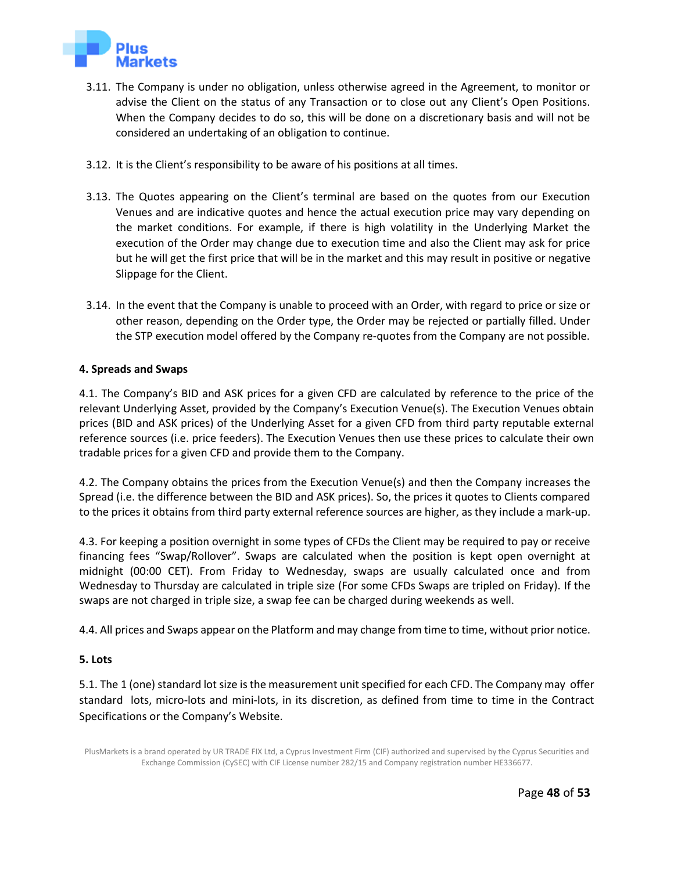

- 3.11. The Company is under no obligation, unless otherwise agreed in the Agreement, to monitor or advise the Client on the status of any Transaction or to close out any Client's Open Positions. When the Company decides to do so, this will be done on a discretionary basis and will not be considered an undertaking of an obligation to continue.
- 3.12. It is the Client's responsibility to be aware of his positions at all times.
- 3.13. The Quotes appearing on the Client's terminal are based on the quotes from our Execution Venues and are indicative quotes and hence the actual execution price may vary depending on the market conditions. For example, if there is high volatility in the Underlying Market the execution of the Order may change due to execution time and also the Client may ask for price but he will get the first price that will be in the market and this may result in positive or negative Slippage for the Client.
- 3.14. In the event that the Company is unable to proceed with an Order, with regard to price or size or other reason, depending on the Order type, the Order may be rejected or partially filled. Under the STP execution model offered by the Company re-quotes from the Company are not possible.

## **4. Spreads and Swaps**

4.1. The Company's BID and ASK prices for a given CFD are calculated by reference to the price of the relevant Underlying Asset, provided by the Company's Execution Venue(s). The Execution Venues obtain prices (BID and ASK prices) of the Underlying Asset for a given CFD from third party reputable external reference sources (i.e. price feeders). The Execution Venues then use these prices to calculate their own tradable prices for a given CFD and provide them to the Company.

4.2. The Company obtains the prices from the Execution Venue(s) and then the Company increases the Spread (i.e. the difference between the BID and ASK prices). So, the prices it quotes to Clients compared to the prices it obtains from third party external reference sources are higher, as they include a mark-up.

4.3. For keeping a position overnight in some types of CFDs the Client may be required to pay or receive financing fees "Swap/Rollover". Swaps are calculated when the position is kept open overnight at midnight (00:00 CET). From Friday to Wednesday, swaps are usually calculated once and from Wednesday to Thursday are calculated in triple size (For some CFDs Swaps are tripled on Friday). If the swaps are not charged in triple size, a swap fee can be charged during weekends as well.

4.4. All prices and Swaps appear on the Platform and may change from time to time, without prior notice.

## **5. Lots**

5.1. The 1 (one) standard lot size is the measurement unit specified for each CFD. The Company may offer standard lots, micro-lots and mini-lots, in its discretion, as defined from time to time in the Contract Specifications or the Company's Website.

PlusMarkets is a brand operated by UR TRADE FIX Ltd, a Cyprus Investment Firm (CIF) authorized and supervised by the Cyprus Securities and Exchange Commission (CySEC) with CIF License number 282/15 and Company registration number HE336677.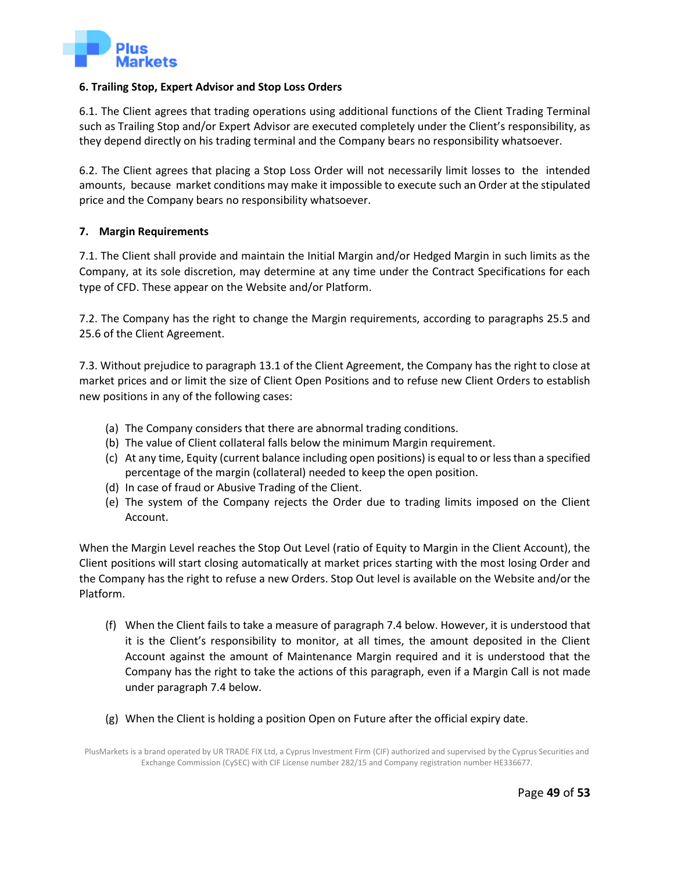

#### **6. Trailing Stop, Expert Advisor and Stop Loss Orders**

6.1. The Client agrees that trading operations using additional functions of the Client Trading Terminal such as Trailing Stop and/or Expert Advisor are executed completely under the Client's responsibility, as they depend directly on his trading terminal and the Company bears no responsibility whatsoever.

6.2. The Client agrees that placing a Stop Loss Order will not necessarily limit losses to the intended amounts, because market conditions may make it impossible to execute such an Order at the stipulated price and the Company bears no responsibility whatsoever.

#### **7. Margin Requirements**

7.1. The Client shall provide and maintain the Initial Margin and/or Hedged Margin in such limits as the Company, at its sole discretion, may determine at any time under the Contract Specifications for each type of CFD. These appear on the Website and/or Platform.

7.2. The Company has the right to change the Margin requirements, according to paragraphs 25.5 and 25.6 of the Client Agreement.

7.3. Without prejudice to paragraph 13.1 of the Client Agreement, the Company has the right to close at market prices and or limit the size of Client Open Positions and to refuse new Client Orders to establish new positions in any of the following cases:

- (a) The Company considers that there are abnormal trading conditions.
- (b) The value of Client collateral falls below the minimum Margin requirement.
- (c) At any time, Equity (current balance including open positions) is equal to or less than a specified percentage of the margin (collateral) needed to keep the open position.
- (d) In case of fraud or Abusive Trading of the Client.
- (e) The system of the Company rejects the Order due to trading limits imposed on the Client Account.

When the Margin Level reaches the Stop Out Level (ratio of Equity to Margin in the Client Account), the Client positions will start closing automatically at market prices starting with the most losing Order and the Company has the right to refuse a new Orders. Stop Out level is available on the Website and/or the Platform.

- (f) When the Client fails to take a measure of paragraph 7.4 below. However, it is understood that it is the Client's responsibility to monitor, at all times, the amount deposited in the Client Account against the amount of Maintenance Margin required and it is understood that the Company has the right to take the actions of this paragraph, even if a Margin Call is not made under paragraph 7.4 below.
- (g) When the Client is holding a position Open on Future after the official expiry date.

PlusMarkets is a brand operated by UR TRADE FIX Ltd, a Cyprus Investment Firm (CIF) authorized and supervised by the Cyprus Securities and Exchange Commission (CySEC) with CIF License number 282/15 and Company registration number HE336677.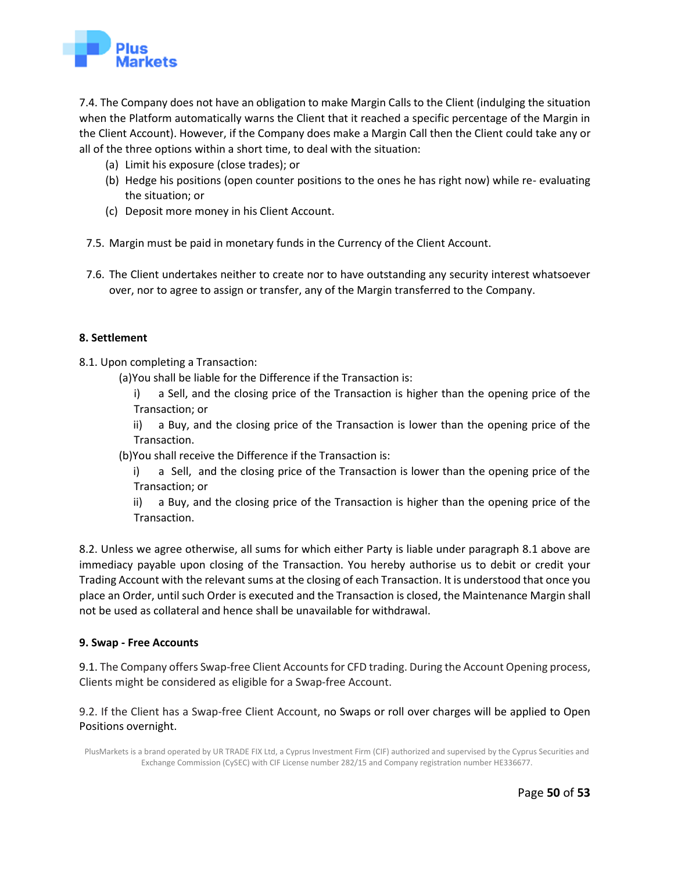

7.4. The Company does not have an obligation to make Margin Calls to the Client (indulging the situation when the Platform automatically warns the Client that it reached a specific percentage of the Margin in the Client Account). However, if the Company does make a Margin Call then the Client could take any or all of the three options within a short time, to deal with the situation:

- (a) Limit his exposure (close trades); or
- (b) Hedge his positions (open counter positions to the ones he has right now) while re- evaluating the situation; or
- (c) Deposit more money in his Client Account.
- 7.5. Margin must be paid in monetary funds in the Currency of the Client Account.
- 7.6. The Client undertakes neither to create nor to have outstanding any security interest whatsoever over, nor to agree to assign or transfer, any of the Margin transferred to the Company.

## **8. Settlement**

- 8.1. Upon completing a Transaction:
	- (a)You shall be liable for the Difference if the Transaction is:
		- i) a Sell, and the closing price of the Transaction is higher than the opening price of the Transaction; or

ii) a Buy, and the closing price of the Transaction is lower than the opening price of the Transaction.

- (b)You shall receive the Difference if the Transaction is:
	- i) a Sell, and the closing price of the Transaction is lower than the opening price of the Transaction; or
	- ii) a Buy, and the closing price of the Transaction is higher than the opening price of the Transaction.

8.2. Unless we agree otherwise, all sums for which either Party is liable under paragraph 8.1 above are immediacy payable upon closing of the Transaction. You hereby authorise us to debit or credit your Trading Account with the relevant sums at the closing of each Transaction. It is understood that once you place an Order, until such Order is executed and the Transaction is closed, the Maintenance Margin shall not be used as collateral and hence shall be unavailable for withdrawal.

#### **9. Swap - Free Accounts**

9.1. The Company offers Swap-free Client Accounts for CFD trading. During the Account Opening process, Clients might be considered as eligible for a Swap-free Account.

9.2. If the Client has a Swap-free Client Account, no Swaps or roll over charges will be applied to Open Positions overnight.

PlusMarkets is a brand operated by UR TRADE FIX Ltd, a Cyprus Investment Firm (CIF) authorized and supervised by the Cyprus Securities and Exchange Commission (CySEC) with CIF License number 282/15 and Company registration number HE336677.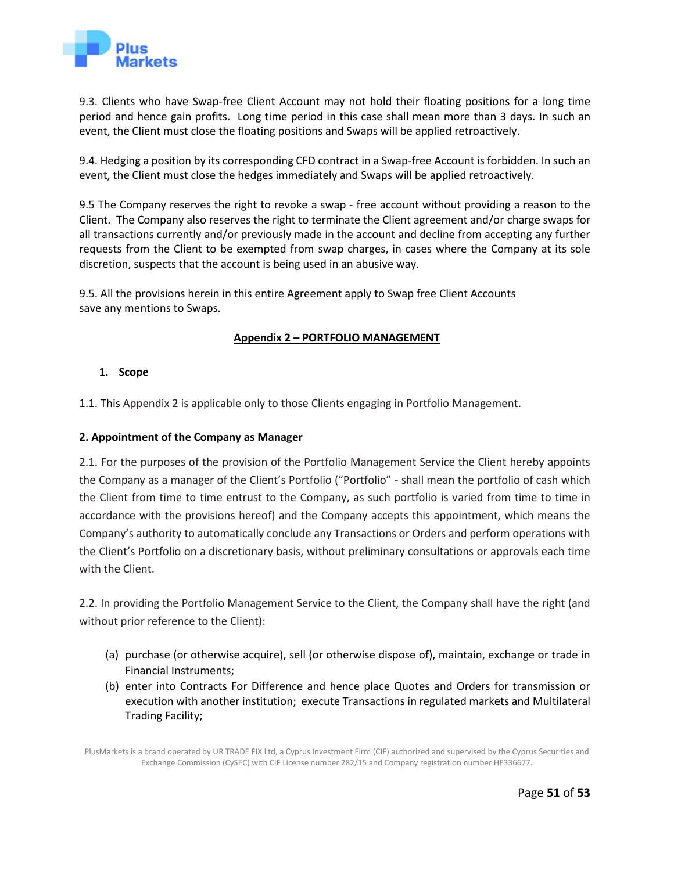

9.3. Clients who have Swap-free Client Account may not hold their floating positions for a long time period and hence gain profits. Long time period in this case shall mean more than 3 days. In such an event, the Client must close the floating positions and Swaps will be applied retroactively.

9.4. Hedging a position by its corresponding CFD contract in a Swap-free Account is forbidden. In such an event, the Client must close the hedges immediately and Swaps will be applied retroactively.

9.5 The Company reserves the right to revoke a swap - free account without providing a reason to the Client. The Company also reserves the right to terminate the Client agreement and/or charge swaps for all transactions currently and/or previously made in the account and decline from accepting any further requests from the Client to be exempted from swap charges, in cases where the Company at its sole discretion, suspects that the account is being used in an abusive way.

9.5. All the provisions herein in this entire Agreement apply to Swap free Client Accounts save any mentions to Swaps.

# **Appendix 2 – PORTFOLIO MANAGEMENT**

## **1. Scope**

<span id="page-50-0"></span>1.1. This Appendix 2 is applicable only to those Clients engaging in Portfolio Management.

## **2. Appointment of the Company as Manager**

2.1. For the purposes of the provision of the Portfolio Management Service the Client hereby appoints the Company as a manager of the Client's Portfolio ("Portfolio" - shall mean the portfolio of cash which the Client from time to time entrust to the Company, as such portfolio is varied from time to time in accordance with the provisions hereof) and the Company accepts this appointment, which means the Company's authority to automatically conclude any Transactions or Orders and perform operations with the Client's Portfolio on a discretionary basis, without preliminary consultations or approvals each time with the Client.

2.2. In providing the Portfolio Management Service to the Client, the Company shall have the right (and without prior reference to the Client):

- (a) purchase (or otherwise acquire), sell (or otherwise dispose of), maintain, exchange or trade in Financial Instruments;
- (b) enter into Contracts For Difference and hence place Quotes and Orders for transmission or execution with another institution; execute Transactions in regulated markets and Multilateral Trading Facility;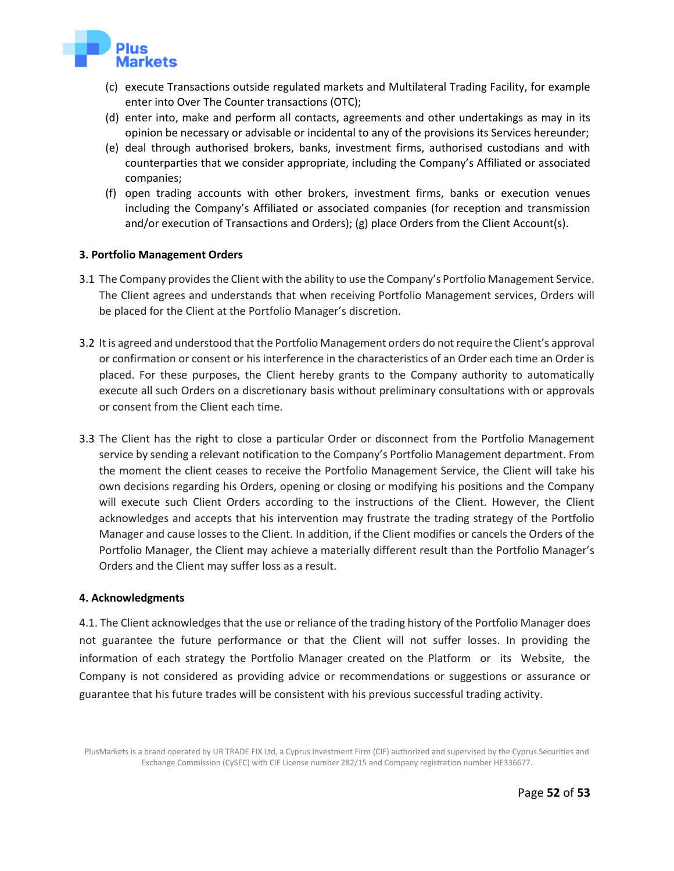

- (c) execute Transactions outside regulated markets and Multilateral Trading Facility, for example enter into Over The Counter transactions (OTC);
- (d) enter into, make and perform all contacts, agreements and other undertakings as may in its opinion be necessary or advisable or incidental to any of the provisions its Services hereunder;
- (e) deal through authorised brokers, banks, investment firms, authorised custodians and with counterparties that we consider appropriate, including the Company's Affiliated or associated companies;
- (f) open trading accounts with other brokers, investment firms, banks or execution venues including the Company's Affiliated or associated companies (for reception and transmission and/or execution of Transactions and Orders); (g) place Orders from the Client Account(s).

#### **3. Portfolio Management Orders**

- 3.1 The Company provides the Client with the ability to use the Company's Portfolio Management Service. The Client agrees and understands that when receiving Portfolio Management services, Orders will be placed for the Client at the Portfolio Manager's discretion.
- 3.2 It is agreed and understood that the Portfolio Management orders do not require the Client's approval or confirmation or consent or his interference in the characteristics of an Order each time an Order is placed. For these purposes, the Client hereby grants to the Company authority to automatically execute all such Orders on a discretionary basis without preliminary consultations with or approvals or consent from the Client each time.
- 3.3 The Client has the right to close a particular Order or disconnect from the Portfolio Management service by sending a relevant notification to the Company's Portfolio Management department. From the moment the client ceases to receive the Portfolio Management Service, the Client will take his own decisions regarding his Orders, opening or closing or modifying his positions and the Company will execute such Client Orders according to the instructions of the Client. However, the Client acknowledges and accepts that his intervention may frustrate the trading strategy of the Portfolio Manager and cause losses to the Client. In addition, if the Client modifies or cancels the Orders of the Portfolio Manager, the Client may achieve a materially different result than the Portfolio Manager's Orders and the Client may suffer loss as a result.

## **4. Acknowledgments**

4.1. The Client acknowledges that the use or reliance of the trading history of the Portfolio Manager does not guarantee the future performance or that the Client will not suffer losses. In providing the information of each strategy the Portfolio Manager created on the Platform or its Website, the Company is not considered as providing advice or recommendations or suggestions or assurance or guarantee that his future trades will be consistent with his previous successful trading activity.

PlusMarkets is a brand operated by UR TRADE FIX Ltd, a Cyprus Investment Firm (CIF) authorized and supervised by the Cyprus Securities and Exchange Commission (CySEC) with CIF License number 282/15 and Company registration number HE336677.